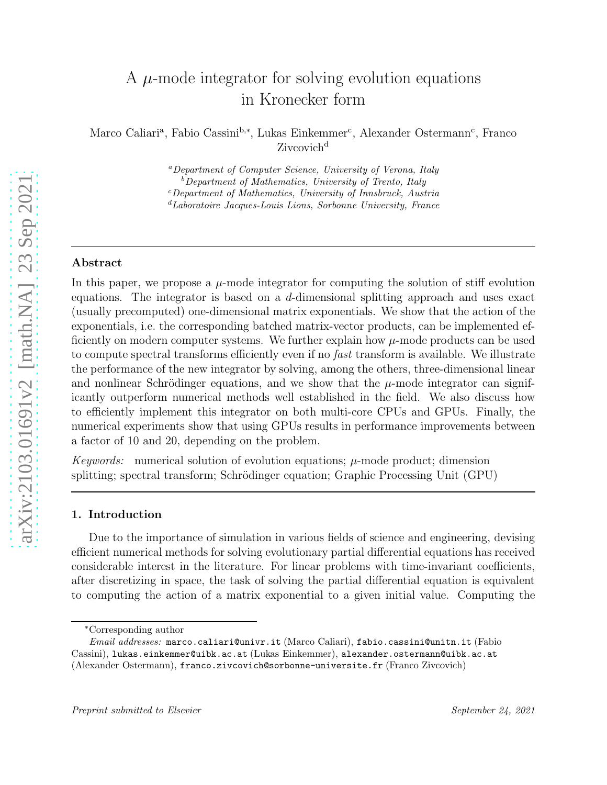# A  $\mu$ -mode integrator for solving evolution equations in Kronecker form

Marco Caliari<sup>a</sup>, Fabio Cassini<sup>b,\*</sup>, Lukas Einkemmer<sup>c</sup>, Alexander Ostermann<sup>c</sup>, Franco Zivcovich<sup>d</sup>

> <sup>a</sup>Department of Computer Science, University of Verona, Italy  $b$ Department of Mathematics, University of Trento, Italy <sup>c</sup>Department of Mathematics, University of Innsbruck, Austria <sup>d</sup>Laboratoire Jacques-Louis Lions, Sorbonne University, France

## Abstract

In this paper, we propose a  $\mu$ -mode integrator for computing the solution of stiff evolution equations. The integrator is based on a d-dimensional splitting approach and uses exact (usually precomputed) one-dimensional matrix exponentials. We show that the action of the exponentials, i.e. the corresponding batched matrix-vector products, can be implemented efficiently on modern computer systems. We further explain how  $\mu$ -mode products can be used to compute spectral transforms efficiently even if no fast transform is available. We illustrate the performance of the new integrator by solving, among the others, three-dimensional linear and nonlinear Schrödinger equations, and we show that the  $\mu$ -mode integrator can significantly outperform numerical methods well established in the field. We also discuss how to efficiently implement this integrator on both multi-core CPUs and GPUs. Finally, the numerical experiments show that using GPUs results in performance improvements between a factor of 10 and 20, depending on the problem.

Keywords: numerical solution of evolution equations;  $\mu$ -mode product; dimension splitting; spectral transform; Schrödinger equation; Graphic Processing Unit (GPU)

## 1. Introduction

Due to the importance of simulation in various fields of science and engineering, devising efficient numerical methods for solving evolutionary partial differential equations has received considerable interest in the literature. For linear problems with time-invariant coefficients, after discretizing in space, the task of solving the partial differential equation is equivalent to computing the action of a matrix exponential to a given initial value. Computing the

<sup>∗</sup>Corresponding author

Email addresses: marco.caliari@univr.it (Marco Caliari), fabio.cassini@unitn.it (Fabio Cassini), lukas.einkemmer@uibk.ac.at (Lukas Einkemmer), alexander.ostermann@uibk.ac.at (Alexander Ostermann), franco.zivcovich@sorbonne-universite.fr (Franco Zivcovich)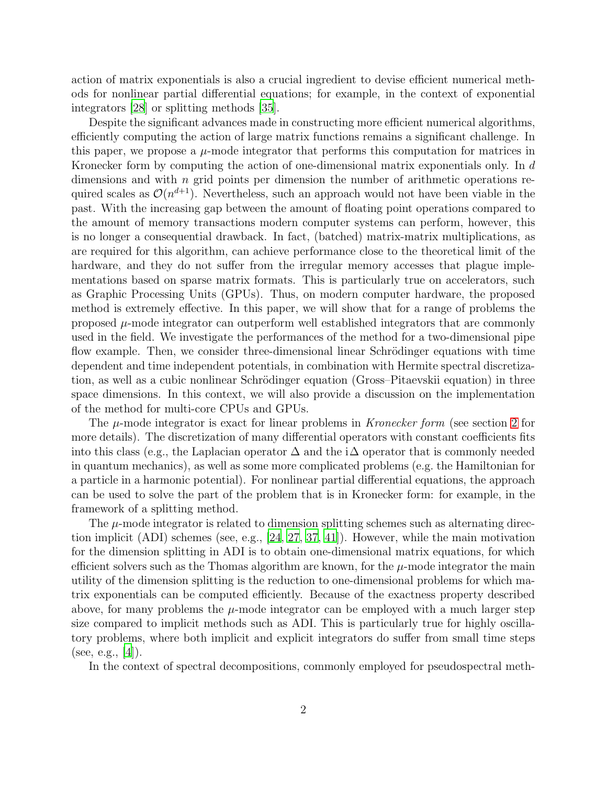action of matrix exponentials is also a crucial ingredient to devise efficient numerical methods for nonlinear partial differential equations; for example, in the context of exponential integrators [\[28\]](#page-23-0) or splitting methods [\[35\]](#page-24-0).

Despite the significant advances made in constructing more efficient numerical algorithms, efficiently computing the action of large matrix functions remains a significant challenge. In this paper, we propose a  $\mu$ -mode integrator that performs this computation for matrices in Kronecker form by computing the action of one-dimensional matrix exponentials only. In d dimensions and with *n* grid points per dimension the number of arithmetic operations required scales as  $\mathcal{O}(n^{d+1})$ . Nevertheless, such an approach would not have been viable in the past. With the increasing gap between the amount of floating point operations compared to the amount of memory transactions modern computer systems can perform, however, this is no longer a consequential drawback. In fact, (batched) matrix-matrix multiplications, as are required for this algorithm, can achieve performance close to the theoretical limit of the hardware, and they do not suffer from the irregular memory accesses that plague implementations based on sparse matrix formats. This is particularly true on accelerators, such as Graphic Processing Units (GPUs). Thus, on modern computer hardware, the proposed method is extremely effective. In this paper, we will show that for a range of problems the proposed  $\mu$ -mode integrator can outperform well established integrators that are commonly used in the field. We investigate the performances of the method for a two-dimensional pipe flow example. Then, we consider three-dimensional linear Schrödinger equations with time dependent and time independent potentials, in combination with Hermite spectral discretization, as well as a cubic nonlinear Schrödinger equation (Gross–Pitaevskii equation) in three space dimensions. In this context, we will also provide a discussion on the implementation of the method for multi-core CPUs and GPUs.

The  $\mu$ -mode integrator is exact for linear problems in Kronecker form (see section [2](#page-2-0) for more details). The discretization of many differential operators with constant coefficients fits into this class (e.g., the Laplacian operator  $\Delta$  and the i $\Delta$  operator that is commonly needed in quantum mechanics), as well as some more complicated problems (e.g. the Hamiltonian for a particle in a harmonic potential). For nonlinear partial differential equations, the approach can be used to solve the part of the problem that is in Kronecker form: for example, in the framework of a splitting method.

The  $\mu$ -mode integrator is related to dimension splitting schemes such as alternating direction implicit (ADI) schemes (see, e.g., [\[24,](#page-23-1) [27](#page-23-2), [37,](#page-24-1) [41](#page-24-2)]). However, while the main motivation for the dimension splitting in ADI is to obtain one-dimensional matrix equations, for which efficient solvers such as the Thomas algorithm are known, for the  $\mu$ -mode integrator the main utility of the dimension splitting is the reduction to one-dimensional problems for which matrix exponentials can be computed efficiently. Because of the exactness property described above, for many problems the  $\mu$ -mode integrator can be employed with a much larger step size compared to implicit methods such as ADI. This is particularly true for highly oscillatory problems, where both implicit and explicit integrators do suffer from small time steps (see, e.g.,  $[4]$ ).

In the context of spectral decompositions, commonly employed for pseudospectral meth-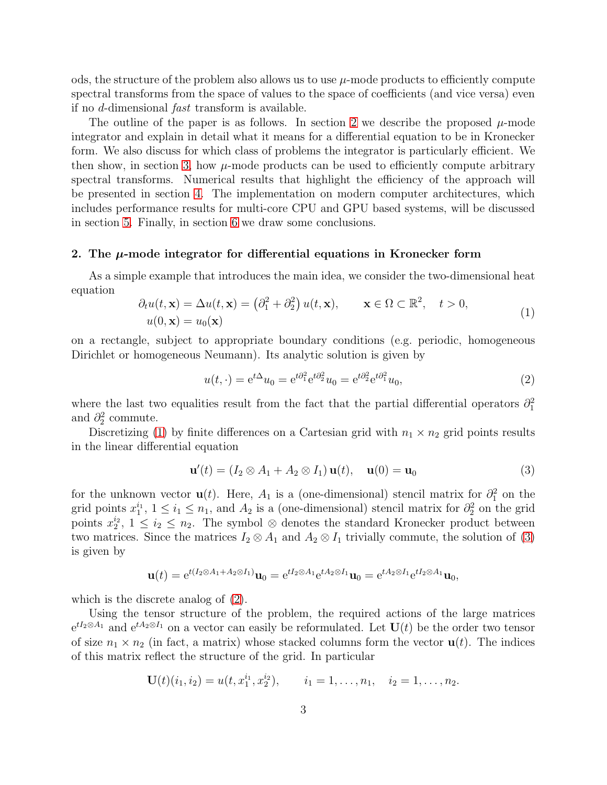ods, the structure of the problem also allows us to use  $\mu$ -mode products to efficiently compute spectral transforms from the space of values to the space of coefficients (and vice versa) even if no d-dimensional fast transform is available.

The outline of the paper is as follows. In section [2](#page-2-0) we describe the proposed  $\mu$ -mode integrator and explain in detail what it means for a differential equation to be in Kronecker form. We also discuss for which class of problems the integrator is particularly efficient. We then show, in section [3,](#page-6-0) how  $\mu$ -mode products can be used to efficiently compute arbitrary spectral transforms. Numerical results that highlight the efficiency of the approach will be presented in section [4.](#page-8-0) The implementation on modern computer architectures, which includes performance results for multi-core CPU and GPU based systems, will be discussed in section [5.](#page-16-0) Finally, in section [6](#page-20-0) we draw some conclusions.

#### <span id="page-2-0"></span>2. The  $\mu$ -mode integrator for differential equations in Kronecker form

As a simple example that introduces the main idea, we consider the two-dimensional heat equation

<span id="page-2-1"></span>
$$
\partial_t u(t, \mathbf{x}) = \Delta u(t, \mathbf{x}) = (\partial_1^2 + \partial_2^2) u(t, \mathbf{x}), \qquad \mathbf{x} \in \Omega \subset \mathbb{R}^2, \quad t > 0,
$$
  

$$
u(0, \mathbf{x}) = u_0(\mathbf{x})
$$
 (1)

on a rectangle, subject to appropriate boundary conditions (e.g. periodic, homogeneous Dirichlet or homogeneous Neumann). Its analytic solution is given by

<span id="page-2-3"></span>
$$
u(t, \cdot) = e^{t\Delta}u_0 = e^{t\partial_1^2}e^{t\partial_2^2}u_0 = e^{t\partial_2^2}e^{t\partial_1^2}u_0,
$$
\n(2)

where the last two equalities result from the fact that the partial differential operators  $\partial_1^2$ and  $\partial_2^2$  commute.

Discretizing [\(1\)](#page-2-1) by finite differences on a Cartesian grid with  $n_1 \times n_2$  grid points results in the linear differential equation

<span id="page-2-2"></span>
$$
\mathbf{u}'(t) = (I_2 \otimes A_1 + A_2 \otimes I_1) \mathbf{u}(t), \quad \mathbf{u}(0) = \mathbf{u}_0 \tag{3}
$$

for the unknown vector  $\mathbf{u}(t)$ . Here,  $A_1$  is a (one-dimensional) stencil matrix for  $\partial_1^2$  on the grid points  $x_1^{i_1}$  $i_1$ ,  $1 \le i_1 \le n_1$ , and  $A_2$  is a (one-dimensional) stencil matrix for  $\partial_2^2$  on the grid points  $x_2^{i_2}$  $i_2^2$ ,  $1 \le i_2 \le n_2$ . The symbol  $\otimes$  denotes the standard Kronecker product between two matrices. Since the matrices  $I_2 \otimes A_1$  and  $A_2 \otimes I_1$  trivially commute, the solution of [\(3\)](#page-2-2) is given by

$$
\mathbf{u}(t) = e^{t(I_2 \otimes A_1 + A_2 \otimes I_1)} \mathbf{u}_0 = e^{tI_2 \otimes A_1} e^{tA_2 \otimes I_1} \mathbf{u}_0 = e^{tA_2 \otimes I_1} e^{tI_2 \otimes A_1} \mathbf{u}_0,
$$

which is the discrete analog of [\(2\)](#page-2-3).

Using the tensor structure of the problem, the required actions of the large matrices  $e^{tI_2\otimes A_1}$  and  $e^{tA_2\otimes I_1}$  on a vector can easily be reformulated. Let  $\mathbf{U}(t)$  be the order two tensor of size  $n_1 \times n_2$  (in fact, a matrix) whose stacked columns form the vector  $\mathbf{u}(t)$ . The indices of this matrix reflect the structure of the grid. In particular

$$
\mathbf{U}(t)(i_1, i_2) = u(t, x_1^{i_1}, x_2^{i_2}), \qquad i_1 = 1, \dots, n_1, \quad i_2 = 1, \dots, n_2.
$$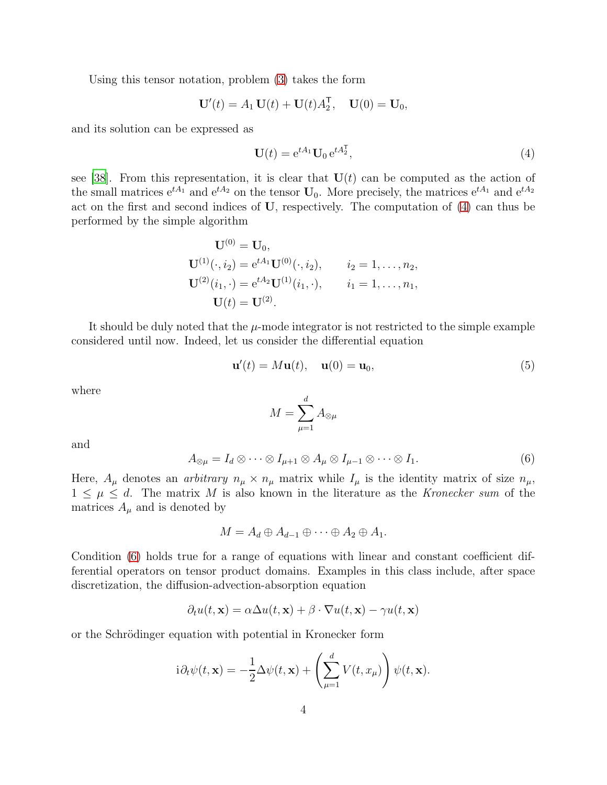Using this tensor notation, problem [\(3\)](#page-2-2) takes the form

$$
\mathbf{U}'(t) = A_1 \mathbf{U}(t) + \mathbf{U}(t) A_2^{\mathsf{T}}, \quad \mathbf{U}(0) = \mathbf{U}_0,
$$

and its solution can be expressed as

<span id="page-3-0"></span>
$$
\mathbf{U}(t) = e^{tA_1} \mathbf{U}_0 e^{tA_2^{\mathsf{T}}},\tag{4}
$$

see [\[38\]](#page-24-3). From this representation, it is clear that  $U(t)$  can be computed as the action of the small matrices  $e^{tA_1}$  and  $e^{tA_2}$  on the tensor  $U_0$ . More precisely, the matrices  $e^{tA_1}$  and  $e^{tA_2}$ act on the first and second indices of U, respectively. The computation of [\(4\)](#page-3-0) can thus be performed by the simple algorithm

$$
\mathbf{U}^{(0)} = \mathbf{U}_0,
$$
  
\n
$$
\mathbf{U}^{(1)}(\cdot, i_2) = e^{tA_1}\mathbf{U}^{(0)}(\cdot, i_2), \qquad i_2 = 1, \dots, n_2,
$$
  
\n
$$
\mathbf{U}^{(2)}(i_1, \cdot) = e^{tA_2}\mathbf{U}^{(1)}(i_1, \cdot), \qquad i_1 = 1, \dots, n_1,
$$
  
\n
$$
\mathbf{U}(t) = \mathbf{U}^{(2)}.
$$

It should be duly noted that the  $\mu$ -mode integrator is not restricted to the simple example considered until now. Indeed, let us consider the differential equation

<span id="page-3-2"></span>
$$
\mathbf{u}'(t) = M\mathbf{u}(t), \quad \mathbf{u}(0) = \mathbf{u}_0,\tag{5}
$$

where

$$
M=\sum_{\mu=1}^d A_{\otimes\mu}
$$

and

<span id="page-3-1"></span>
$$
A_{\otimes\mu} = I_d \otimes \cdots \otimes I_{\mu+1} \otimes A_{\mu} \otimes I_{\mu-1} \otimes \cdots \otimes I_1.
$$
 (6)

Here,  $A_\mu$  denotes an *arbitrary*  $n_\mu \times n_\mu$  matrix while  $I_\mu$  is the identity matrix of size  $n_\mu$ ,  $1 \leq \mu \leq d$ . The matrix M is also known in the literature as the Kronecker sum of the matrices  $A_{\mu}$  and is denoted by

$$
M=A_d\oplus A_{d-1}\oplus\cdots\oplus A_2\oplus A_1.
$$

Condition [\(6\)](#page-3-1) holds true for a range of equations with linear and constant coefficient differential operators on tensor product domains. Examples in this class include, after space discretization, the diffusion-advection-absorption equation

$$
\partial_t u(t, \mathbf{x}) = \alpha \Delta u(t, \mathbf{x}) + \beta \cdot \nabla u(t, \mathbf{x}) - \gamma u(t, \mathbf{x})
$$

or the Schrödinger equation with potential in Kronecker form

$$
i\partial_t \psi(t, \mathbf{x}) = -\frac{1}{2}\Delta \psi(t, \mathbf{x}) + \left(\sum_{\mu=1}^d V(t, x_\mu)\right) \psi(t, \mathbf{x}).
$$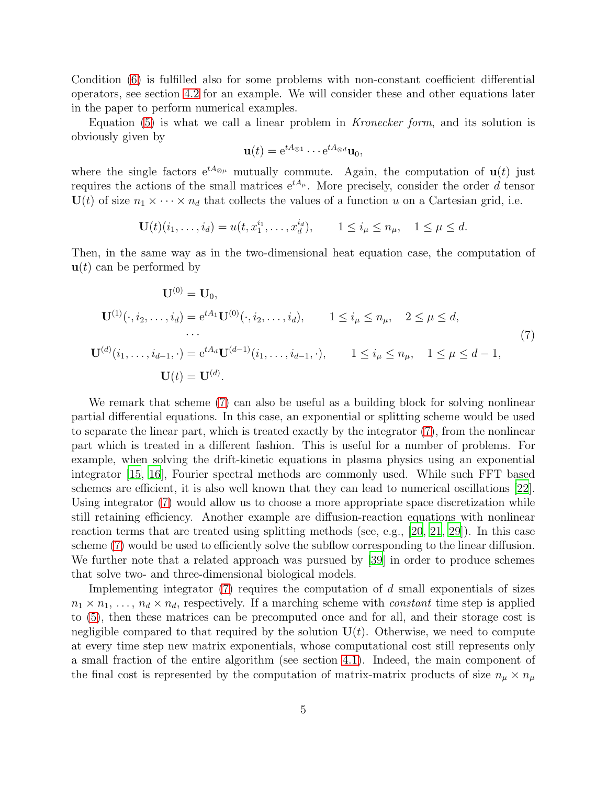Condition [\(6\)](#page-3-1) is fulfilled also for some problems with non-constant coefficient differential operators, see section [4.2](#page-12-0) for an example. We will consider these and other equations later in the paper to perform numerical examples.

Equation  $(5)$  is what we call a linear problem in *Kronecker form*, and its solution is obviously given by

$$
\mathbf{u}(t) = e^{tA_{\otimes 1}} \cdots e^{tA_{\otimes d}} \mathbf{u}_0,
$$

where the single factors  $e^{tA_{\otimes \mu}}$  mutually commute. Again, the computation of  $u(t)$  just requires the actions of the small matrices  $e^{tA_\mu}$ . More precisely, consider the order d tensor  $U(t)$  of size  $n_1 \times \cdots \times n_d$  that collects the values of a function u on a Cartesian grid, i.e.

$$
\mathbf{U}(t)(i_1,\ldots,i_d) = u(t,x_1^{i_1},\ldots,x_d^{i_d}), \qquad 1 \le i_\mu \le n_\mu, \quad 1 \le \mu \le d.
$$

Then, in the same way as in the two-dimensional heat equation case, the computation of  $\mathbf{u}(t)$  can be performed by

<span id="page-4-0"></span>
$$
\mathbf{U}^{(0)} = \mathbf{U}_0,
$$
  
\n
$$
\mathbf{U}^{(1)}(\cdot, i_2, \dots, i_d) = e^{tA_1} \mathbf{U}^{(0)}(\cdot, i_2, \dots, i_d), \qquad 1 \le i_\mu \le n_\mu, \quad 2 \le \mu \le d,
$$
  
\n...  
\n
$$
\mathbf{U}^{(d)}(i_1, \dots, i_{d-1}, \cdot) = e^{tA_d} \mathbf{U}^{(d-1)}(i_1, \dots, i_{d-1}, \cdot), \qquad 1 \le i_\mu \le n_\mu, \quad 1 \le \mu \le d-1,
$$
  
\n
$$
\mathbf{U}(t) = \mathbf{U}^{(d)}.
$$
\n(7)

We remark that scheme [\(7\)](#page-4-0) can also be useful as a building block for solving nonlinear partial differential equations. In this case, an exponential or splitting scheme would be used to separate the linear part, which is treated exactly by the integrator [\(7\)](#page-4-0), from the nonlinear part which is treated in a different fashion. This is useful for a number of problems. For example, when solving the drift-kinetic equations in plasma physics using an exponential integrator [\[15](#page-23-3), [16](#page-23-4)], Fourier spectral methods are commonly used. While such FFT based schemes are efficient, it is also well known that they can lead to numerical oscillations [\[22\]](#page-23-5). Using integrator [\(7\)](#page-4-0) would allow us to choose a more appropriate space discretization while still retaining efficiency. Another example are diffusion-reaction equations with nonlinear reaction terms that are treated using splitting methods (see, e.g., [\[20,](#page-23-6) [21,](#page-23-7) [29\]](#page-24-4)). In this case scheme [\(7\)](#page-4-0) would be used to efficiently solve the subflow corresponding to the linear diffusion. We further note that a related approach was pursued by [\[39](#page-24-5)] in order to produce schemes that solve two- and three-dimensional biological models.

Implementing integrator  $(7)$  requires the computation of d small exponentials of sizes  $n_1 \times n_1, \ldots, n_d \times n_d$ , respectively. If a marching scheme with *constant* time step is applied to [\(5\)](#page-3-2), then these matrices can be precomputed once and for all, and their storage cost is negligible compared to that required by the solution  $U(t)$ . Otherwise, we need to compute at every time step new matrix exponentials, whose computational cost still represents only a small fraction of the entire algorithm (see section [4.1\)](#page-9-0). Indeed, the main component of the final cost is represented by the computation of matrix-matrix products of size  $n_{\mu} \times n_{\mu}$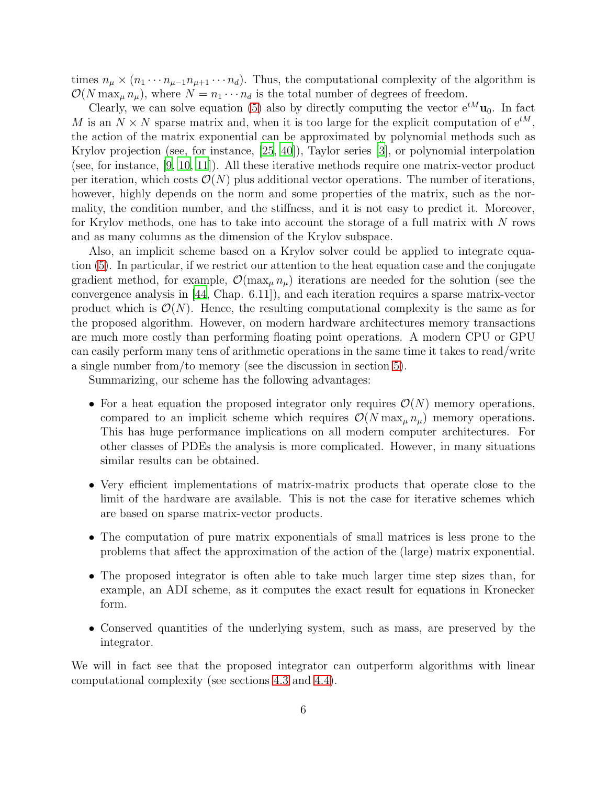times  $n_{\mu} \times (n_1 \cdots n_{\mu-1} n_{\mu+1} \cdots n_d)$ . Thus, the computational complexity of the algorithm is  $\mathcal{O}(N \max_{\mu} n_{\mu})$ , where  $N = n_1 \cdots n_d$  is the total number of degrees of freedom.

Clearly, we can solve equation [\(5\)](#page-3-2) also by directly computing the vector  $e^{tM}u_0$ . In fact M is an  $N \times N$  sparse matrix and, when it is too large for the explicit computation of  $e^{tM}$ , the action of the matrix exponential can be approximated by polynomial methods such as Krylov projection (see, for instance, [\[25](#page-23-8), [40](#page-24-6)]), Taylor series [\[3](#page-22-1)], or polynomial interpolation (see, for instance, [\[9,](#page-22-2) [10,](#page-22-3) [11](#page-22-4)]). All these iterative methods require one matrix-vector product per iteration, which costs  $\mathcal{O}(N)$  plus additional vector operations. The number of iterations, however, highly depends on the norm and some properties of the matrix, such as the normality, the condition number, and the stiffness, and it is not easy to predict it. Moreover, for Krylov methods, one has to take into account the storage of a full matrix with  $N$  rows and as many columns as the dimension of the Krylov subspace.

Also, an implicit scheme based on a Krylov solver could be applied to integrate equation [\(5\)](#page-3-2). In particular, if we restrict our attention to the heat equation case and the conjugate gradient method, for example,  $\mathcal{O}(\max_u n_u)$  iterations are needed for the solution (see the convergence analysis in [\[44,](#page-25-0) Chap. 6.11]), and each iteration requires a sparse matrix-vector product which is  $\mathcal{O}(N)$ . Hence, the resulting computational complexity is the same as for the proposed algorithm. However, on modern hardware architectures memory transactions are much more costly than performing floating point operations. A modern CPU or GPU can easily perform many tens of arithmetic operations in the same time it takes to read/write a single number from/to memory (see the discussion in section [5\)](#page-16-0).

Summarizing, our scheme has the following advantages:

- For a heat equation the proposed integrator only requires  $\mathcal{O}(N)$  memory operations, compared to an implicit scheme which requires  $\mathcal{O}(N \max_{\mu} n_{\mu})$  memory operations. This has huge performance implications on all modern computer architectures. For other classes of PDEs the analysis is more complicated. However, in many situations similar results can be obtained.
- Very efficient implementations of matrix-matrix products that operate close to the limit of the hardware are available. This is not the case for iterative schemes which are based on sparse matrix-vector products.
- The computation of pure matrix exponentials of small matrices is less prone to the problems that affect the approximation of the action of the (large) matrix exponential.
- The proposed integrator is often able to take much larger time step sizes than, for example, an ADI scheme, as it computes the exact result for equations in Kronecker form.
- Conserved quantities of the underlying system, such as mass, are preserved by the integrator.

We will in fact see that the proposed integrator can outperform algorithms with linear computational complexity (see sections [4.3](#page-12-1) and [4.4\)](#page-14-0).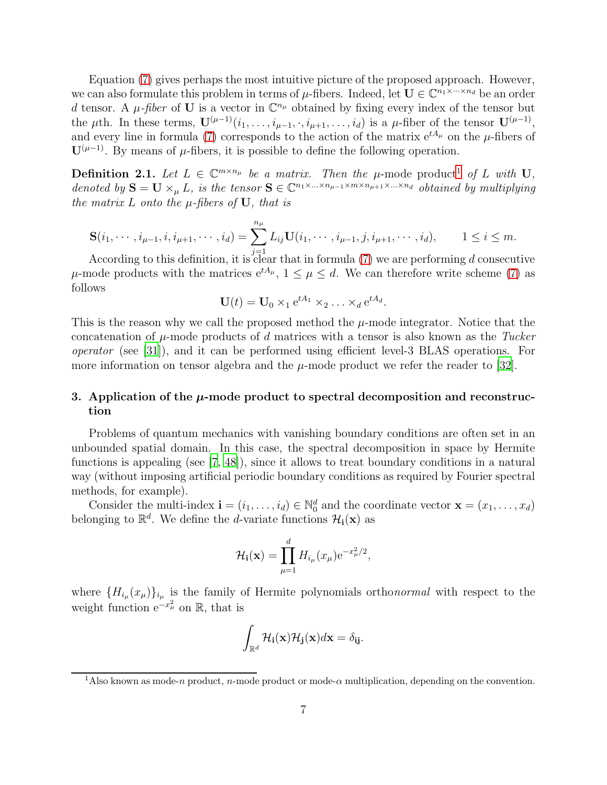Equation [\(7\)](#page-4-0) gives perhaps the most intuitive picture of the proposed approach. However, we can also formulate this problem in terms of  $\mu$ -fibers. Indeed, let  $\mathbf{U} \in \mathbb{C}^{n_1 \times \cdots \times n_d}$  be an order d tensor. A  $\mu$ -fiber of **U** is a vector in  $\mathbb{C}^{n_{\mu}}$  obtained by fixing every index of the tensor but the  $\mu$ th. In these terms,  $\mathbf{U}^{(\mu-1)}(i_1,\ldots,i_{\mu-1},\cdot,i_{\mu+1},\ldots,i_d)$  is a  $\mu$ -fiber of the tensor  $\mathbf{U}^{(\mu-1)}$ , and every line in formula [\(7\)](#page-4-0) corresponds to the action of the matrix  $e^{tA_{\mu}}$  on the  $\mu$ -fibers of  $\mathbf{U}^{(\mu-1)}$ . By means of  $\mu$ -fibers, it is possible to define the following operation.

**Definition 2.[1](#page-6-1).** Let  $L \in \mathbb{C}^{m \times n_{\mu}}$  be a matrix. Then the  $\mu$ -mode product<sup>1</sup> of L with U, denoted by  $S = U \times_{\mu} L$ , is the tensor  $S \in \mathbb{C}^{n_1 \times ... \times n_{\mu-1} \times m \times n_{\mu+1} \times ... \times n_d}$  obtained by multiplying the matrix  $L$  onto the  $\mu$ -fibers of  $U$ , that is

$$
\mathbf{S}(i_1,\dots,i_{\mu-1},i,i_{\mu+1},\dots,i_d) = \sum_{j=1}^{n_{\mu}} L_{ij} \mathbf{U}(i_1,\dots,i_{\mu-1},j,i_{\mu+1},\dots,i_d), \qquad 1 \le i \le m.
$$

According to this definition, it is clear that in formula [\(7\)](#page-4-0) we are performing d consecutive  $\mu$ -mode products with the matrices  $e^{tA_{\mu}}, 1 \leq \mu \leq d$ . We can therefore write scheme [\(7\)](#page-4-0) as follows

$$
\mathbf{U}(t) = \mathbf{U}_0 \times_1 e^{tA_1} \times_2 \ldots \times_d e^{tA_d}.
$$

This is the reason why we call the proposed method the  $\mu$ -mode integrator. Notice that the concatenation of  $\mu$ -mode products of d matrices with a tensor is also known as the Tucker operator (see [\[31\]](#page-24-7)), and it can be performed using efficient level-3 BLAS operations. For more information on tensor algebra and the  $\mu$ -mode product we refer the reader to [\[32\]](#page-24-8).

## <span id="page-6-0"></span>3. Application of the  $\mu$ -mode product to spectral decomposition and reconstruction

Problems of quantum mechanics with vanishing boundary conditions are often set in an unbounded spatial domain. In this case, the spectral decomposition in space by Hermite functions is appealing (see [\[7,](#page-22-5) [48](#page-25-1)]), since it allows to treat boundary conditions in a natural way (without imposing artificial periodic boundary conditions as required by Fourier spectral methods, for example).

Consider the multi-index  $\mathbf{i} = (i_1, \ldots, i_d) \in \mathbb{N}_0^d$  and the coordinate vector  $\mathbf{x} = (x_1, \ldots, x_d)$ belonging to  $\mathbb{R}^d$ . We define the *d*-variate functions  $\mathcal{H}_i(\mathbf{x})$  as

$$
\mathcal{H}_{\mathbf{i}}(\mathbf{x}) = \prod_{\mu=1}^{d} H_{i_{\mu}}(x_{\mu}) e^{-x_{\mu}^{2}/2},
$$

where  ${H_i$ <sub> $\mu$ </sub> $(x_{\mu})$  $_{i_{\mu}}$  is the family of Hermite polynomials orthonormal with respect to the weight function  $e^{-x^2_\mu}$  on  $\mathbb R$ , that is

$$
\int_{\mathbb{R}^d} \mathcal{H}_{\mathbf{i}}(\mathbf{x}) \mathcal{H}_{\mathbf{j}}(\mathbf{x}) d\mathbf{x} = \delta_{\mathbf{ij}}.
$$

<span id="page-6-1"></span><sup>&</sup>lt;sup>1</sup>Also known as mode-n product, n-mode product or mode- $\alpha$  multiplication, depending on the convention.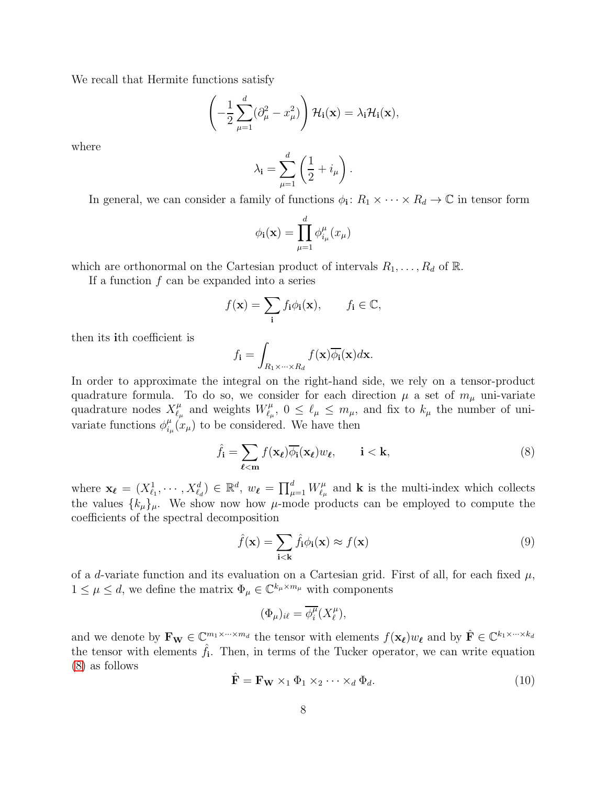We recall that Hermite functions satisfy

$$
\left(-\frac{1}{2}\sum_{\mu=1}^d(\partial_\mu^2-x_\mu^2)\right)\mathcal{H}_{\mathbf{i}}(\mathbf{x})=\lambda_{\mathbf{i}}\mathcal{H}_{\mathbf{i}}(\mathbf{x}),
$$

where

$$
\lambda_{\mathbf{i}} = \sum_{\mu=1}^{d} \left( \frac{1}{2} + i_{\mu} \right).
$$

In general, we can consider a family of functions  $\phi_i: R_1 \times \cdots \times R_d \to \mathbb{C}$  in tensor form

$$
\phi_{\mathbf{i}}(\mathbf{x}) = \prod_{\mu=1}^{d} \phi_{i_{\mu}}^{\mu}(x_{\mu})
$$

which are orthonormal on the Cartesian product of intervals  $R_1, \ldots, R_d$  of  $\mathbb{R}$ .

If a function  $f$  can be expanded into a series

$$
f(\mathbf{x}) = \sum_{\mathbf{i}} f_{\mathbf{i}} \phi_{\mathbf{i}}(\mathbf{x}), \qquad f_{\mathbf{i}} \in \mathbb{C},
$$

then its ith coefficient is

$$
f_{\mathbf{i}} = \int_{R_1 \times \cdots \times R_d} f(\mathbf{x}) \overline{\phi_{\mathbf{i}}}(\mathbf{x}) d\mathbf{x}.
$$

In order to approximate the integral on the right-hand side, we rely on a tensor-product quadrature formula. To do so, we consider for each direction  $\mu$  a set of  $m_{\mu}$  uni-variate quadrature nodes  $X_{\ell}^{\mu}$  $\mu_{\ell_{\mu}}^{\mu}$  and weights  $W_{\ell_{\mu}}^{\mu}$  $\mathcal{L}_{\mu}^{\mu}, 0 \leq \ell_{\mu} \leq m_{\mu}$ , and fix to  $k_{\mu}$  the number of univariate functions  $\phi_i^{\mu}$  $\frac{\mu}{i_{\mu}}(x_{\mu})$  to be considered. We have then

<span id="page-7-0"></span>
$$
\hat{f}_{\mathbf{i}} = \sum_{\ell < \mathbf{m}} f(\mathbf{x}_{\ell}) \overline{\phi_{\mathbf{i}}}(\mathbf{x}_{\ell}) w_{\ell}, \qquad \mathbf{i} < \mathbf{k}, \tag{8}
$$

where  $\mathbf{x}_{\ell} = (X_{\ell_1}^1, \cdots, X_{\ell_d}^d) \in \mathbb{R}^d$ ,  $w_{\ell} = \prod_{\mu=1}^d W_{\ell_{\mu}}^{\mu}$  $\zeta_{\ell_\mu}^{\mu}$  and **k** is the multi-index which collects the values  ${k_\mu}_{\mu}$ . We show now how  $\mu$ -mode products can be employed to compute the coefficients of the spectral decomposition

<span id="page-7-1"></span>
$$
\hat{f}(\mathbf{x}) = \sum_{\mathbf{i} < \mathbf{k}} \hat{f}_{\mathbf{i}} \phi_{\mathbf{i}}(\mathbf{x}) \approx f(\mathbf{x}) \tag{9}
$$

of a d-variate function and its evaluation on a Cartesian grid. First of all, for each fixed  $\mu$ ,  $1 \leq \mu \leq d$ , we define the matrix  $\Phi_{\mu} \in \mathbb{C}^{k_{\mu} \times m_{\mu}}$  with components

$$
(\Phi_{\mu})_{i\ell} = \overline{\phi_i^{\mu}}(X_{\ell}^{\mu}),
$$

and we denote by  $\mathbf{F_W} \in \mathbb{C}^{m_1 \times \cdots \times m_d}$  the tensor with elements  $f(\mathbf{x_\ell})w_{\ell}$  and by  $\hat{\mathbf{F}} \in \mathbb{C}^{k_1 \times \cdots \times k_d}$ the tensor with elements  $\hat{f}_i$ . Then, in terms of the Tucker operator, we can write equation [\(8\)](#page-7-0) as follows

<span id="page-7-2"></span>
$$
\hat{\mathbf{F}} = \mathbf{F_W} \times_1 \Phi_1 \times_2 \cdots \times_d \Phi_d.
$$
\n(10)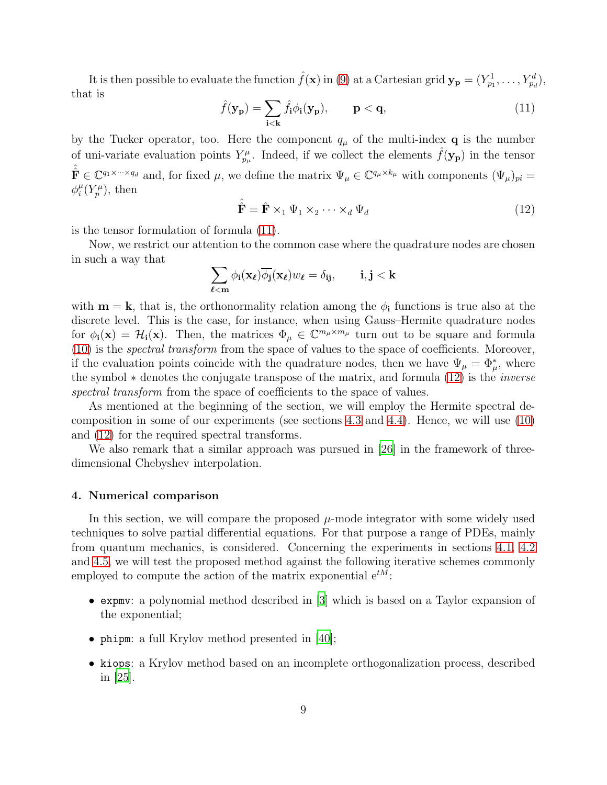It is then possible to evaluate the function  $\hat{f}(\mathbf{x})$  in [\(9\)](#page-7-1) at a Cartesian grid  $\mathbf{y_p} = (Y_{p_1}^1, \ldots, Y_{p_d}^d)$ , that is

<span id="page-8-1"></span>
$$
\hat{f}(\mathbf{y}_{\mathbf{p}}) = \sum_{\mathbf{i} < \mathbf{k}} \hat{f}_{\mathbf{i}} \phi_{\mathbf{i}}(\mathbf{y}_{\mathbf{p}}), \qquad \mathbf{p} < \mathbf{q}, \tag{11}
$$

by the Tucker operator, too. Here the component  $q_{\mu}$  of the multi-index **q** is the number of uni-variate evaluation points  $Y_{p_\mu}^{\mu}$ . Indeed, if we collect the elements  $\hat{f}(\mathbf{y_p})$  in the tensor  $\hat{\mathbf{F}} \in \mathbb{C}^{q_1 \times \cdots \times q_d}$  and, for fixed  $\mu$ , we define the matrix  $\Psi_{\mu} \in \mathbb{C}^{q_{\mu} \times k_{\mu}}$  with components  $(\Psi_{\mu})_{pi} =$  $\phi_i^{\mu}$  $_i^{\mu}(Y_p^{\mu}),$  then

<span id="page-8-2"></span>
$$
\hat{\hat{\mathbf{F}}} = \hat{\mathbf{F}} \times_1 \Psi_1 \times_2 \cdots \times_d \Psi_d \tag{12}
$$

is the tensor formulation of formula [\(11\)](#page-8-1).

Now, we restrict our attention to the common case where the quadrature nodes are chosen in such a way that

$$
\sum_{\ell < m} \phi_{i}(\mathbf{x}_{\ell}) \overline{\phi_{j}}(\mathbf{x}_{\ell}) w_{\ell} = \delta_{ij}, \qquad i, j < k
$$

with  $\mathbf{m} = \mathbf{k}$ , that is, the orthonormality relation among the  $\phi_i$  functions is true also at the discrete level. This is the case, for instance, when using Gauss–Hermite quadrature nodes for  $\phi_i(\mathbf{x}) = \mathcal{H}_i(\mathbf{x})$ . Then, the matrices  $\Phi_\mu \in \mathbb{C}^{m_\mu \times m_\mu}$  turn out to be square and formula [\(10\)](#page-7-2) is the spectral transform from the space of values to the space of coefficients. Moreover, if the evaluation points coincide with the quadrature nodes, then we have  $\Psi_{\mu} = \Phi_{\mu}^{*}$ , where the symbol ∗ denotes the conjugate transpose of the matrix, and formula [\(12\)](#page-8-2) is the inverse spectral transform from the space of coefficients to the space of values.

As mentioned at the beginning of the section, we will employ the Hermite spectral decomposition in some of our experiments (see sections [4.3](#page-12-1) and [4.4\)](#page-14-0). Hence, we will use [\(10\)](#page-7-2) and [\(12\)](#page-8-2) for the required spectral transforms.

We also remark that a similar approach was pursued in [\[26](#page-23-9)] in the framework of threedimensional Chebyshev interpolation.

## <span id="page-8-0"></span>4. Numerical comparison

In this section, we will compare the proposed  $\mu$ -mode integrator with some widely used techniques to solve partial differential equations. For that purpose a range of PDEs, mainly from quantum mechanics, is considered. Concerning the experiments in sections [4.1,](#page-9-0) [4.2](#page-12-0) and [4.5,](#page-15-0) we will test the proposed method against the following iterative schemes commonly employed to compute the action of the matrix exponential  $e^{tM}$ :

- expmv: a polynomial method described in [\[3](#page-22-1)] which is based on a Taylor expansion of the exponential;
- phipm: a full Krylov method presented in [\[40\]](#page-24-6);
- kiops: a Krylov method based on an incomplete orthogonalization process, described in [\[25\]](#page-23-8).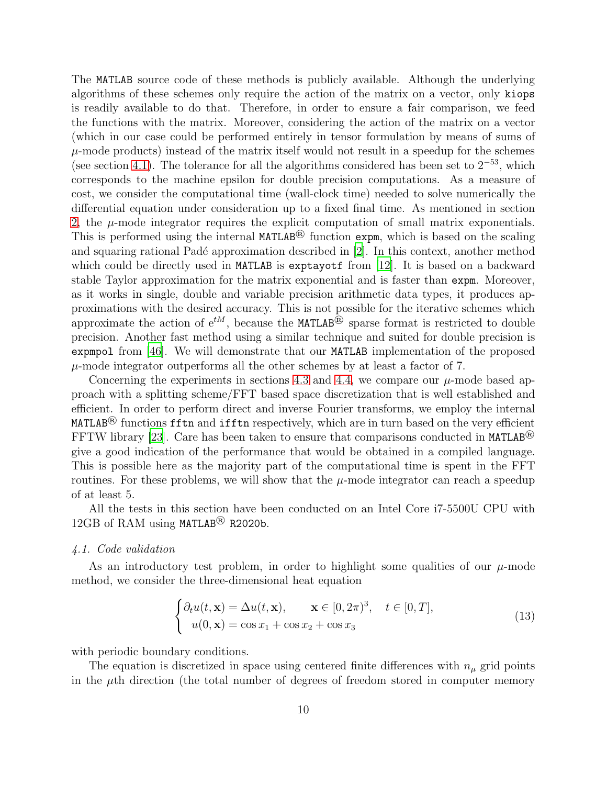The MATLAB source code of these methods is publicly available. Although the underlying algorithms of these schemes only require the action of the matrix on a vector, only kiops is readily available to do that. Therefore, in order to ensure a fair comparison, we feed the functions with the matrix. Moreover, considering the action of the matrix on a vector (which in our case could be performed entirely in tensor formulation by means of sums of  $\mu$ -mode products) instead of the matrix itself would not result in a speedup for the schemes (see section [4.1\)](#page-9-0). The tolerance for all the algorithms considered has been set to  $2^{-53}$ , which corresponds to the machine epsilon for double precision computations. As a measure of cost, we consider the computational time (wall-clock time) needed to solve numerically the differential equation under consideration up to a fixed final time. As mentioned in section [2,](#page-2-0) the  $\mu$ -mode integrator requires the explicit computation of small matrix exponentials. This is performed using the internal MATLAB® function expm, which is based on the scaling and squaring rational Padé approximation described in [\[2](#page-22-6)]. In this context, another method which could be directly used in MATLAB is exptayotf from [\[12\]](#page-22-7). It is based on a backward stable Taylor approximation for the matrix exponential and is faster than expm. Moreover, as it works in single, double and variable precision arithmetic data types, it produces approximations with the desired accuracy. This is not possible for the iterative schemes which approximate the action of  $e^{tM}$ , because the MATLAB<sup>®</sup> sparse format is restricted to double precision. Another fast method using a similar technique and suited for double precision is expmpol from [\[46\]](#page-25-2). We will demonstrate that our MATLAB implementation of the proposed  $\mu$ -mode integrator outperforms all the other schemes by at least a factor of 7.

Concerning the experiments in sections [4.3](#page-12-1) and [4.4,](#page-14-0) we compare our  $\mu$ -mode based approach with a splitting scheme/FFT based space discretization that is well established and efficient. In order to perform direct and inverse Fourier transforms, we employ the internal MATLAB<sup> $\circledR$ </sup> functions fftn and ifftn respectively, which are in turn based on the very efficient FFTW library [\[23](#page-23-10)]. Care has been taken to ensure that comparisons conducted in MATLAB<sup>®</sup> give a good indication of the performance that would be obtained in a compiled language. This is possible here as the majority part of the computational time is spent in the FFT routines. For these problems, we will show that the  $\mu$ -mode integrator can reach a speedup of at least 5.

All the tests in this section have been conducted on an Intel Core i7-5500U CPU with 12GB of RAM using MATLAB<sup>®</sup> R2020b.

#### <span id="page-9-0"></span>4.1. Code validation

As an introductory test problem, in order to highlight some qualities of our  $\mu$ -mode method, we consider the three-dimensional heat equation

<span id="page-9-1"></span>
$$
\begin{cases} \partial_t u(t, \mathbf{x}) = \Delta u(t, \mathbf{x}), & \mathbf{x} \in [0, 2\pi)^3, \quad t \in [0, T], \\ u(0, \mathbf{x}) = \cos x_1 + \cos x_2 + \cos x_3 \end{cases}
$$
(13)

with periodic boundary conditions.

The equation is discretized in space using centered finite differences with  $n_{\mu}$  grid points in the  $\mu$ th direction (the total number of degrees of freedom stored in computer memory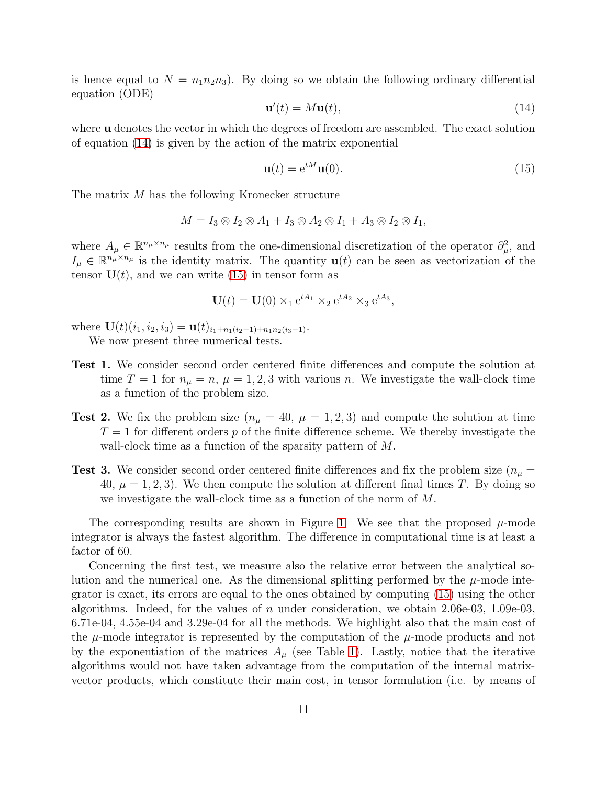is hence equal to  $N = n_1 n_2 n_3$ . By doing so we obtain the following ordinary differential equation (ODE)

<span id="page-10-0"></span>
$$
\mathbf{u}'(t) = M\mathbf{u}(t),\tag{14}
$$

where **u** denotes the vector in which the degrees of freedom are assembled. The exact solution of equation [\(14\)](#page-10-0) is given by the action of the matrix exponential

<span id="page-10-1"></span>
$$
\mathbf{u}(t) = e^{tM}\mathbf{u}(0). \tag{15}
$$

The matrix M has the following Kronecker structure

$$
M = I_3 \otimes I_2 \otimes A_1 + I_3 \otimes A_2 \otimes I_1 + A_3 \otimes I_2 \otimes I_1,
$$

where  $A_\mu \in \mathbb{R}^{n_\mu \times n_\mu}$  results from the one-dimensional discretization of the operator  $\partial_\mu^2$ , and  $I_{\mu} \in \mathbb{R}^{n_{\mu} \times n_{\mu}}$  is the identity matrix. The quantity  $\mathbf{u}(t)$  can be seen as vectorization of the tensor  $U(t)$ , and we can write [\(15\)](#page-10-1) in tensor form as

$$
\mathbf{U}(t) = \mathbf{U}(0) \times_1 e^{tA_1} \times_2 e^{tA_2} \times_3 e^{tA_3},
$$

where  $\mathbf{U}(t)(i_1, i_2, i_3) = \mathbf{u}(t)_{i_1+n_1(i_2-1)+n_1n_2(i_3-1)}$ . We now present three numerical tests.

- Test 1. We consider second order centered finite differences and compute the solution at time  $T = 1$  for  $n_{\mu} = n$ ,  $\mu = 1, 2, 3$  with various n. We investigate the wall-clock time as a function of the problem size.
- **Test 2.** We fix the problem size  $(n_{\mu} = 40, \mu = 1, 2, 3)$  and compute the solution at time  $T = 1$  for different orders p of the finite difference scheme. We thereby investigate the wall-clock time as a function of the sparsity pattern of M.
- **Test 3.** We consider second order centered finite differences and fix the problem size ( $n_{\mu}$  = 40,  $\mu = 1, 2, 3$ . We then compute the solution at different final times T. By doing so we investigate the wall-clock time as a function of the norm of M.

The corresponding results are shown in Figure [1.](#page-11-0) We see that the proposed  $\mu$ -mode integrator is always the fastest algorithm. The difference in computational time is at least a factor of 60.

Concerning the first test, we measure also the relative error between the analytical solution and the numerical one. As the dimensional splitting performed by the  $\mu$ -mode integrator is exact, its errors are equal to the ones obtained by computing [\(15\)](#page-10-1) using the other algorithms. Indeed, for the values of n under consideration, we obtain 2.06e-03, 1.09e-03, 6.71e-04, 4.55e-04 and 3.29e-04 for all the methods. We highlight also that the main cost of the  $\mu$ -mode integrator is represented by the computation of the  $\mu$ -mode products and not by the exponentiation of the matrices  $A_\mu$  (see Table [1\)](#page-11-1). Lastly, notice that the iterative algorithms would not have taken advantage from the computation of the internal matrixvector products, which constitute their main cost, in tensor formulation (i.e. by means of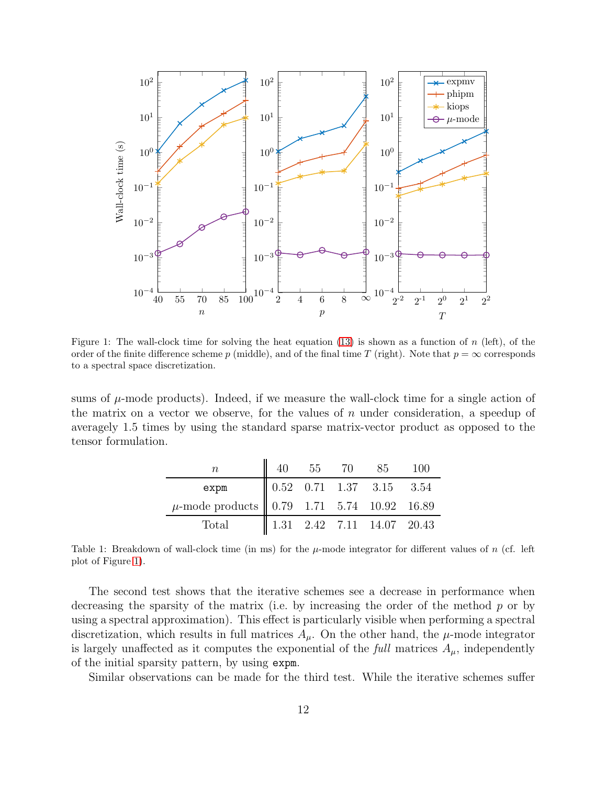

<span id="page-11-0"></span>Figure 1: The wall-clock time for solving the heat equation  $(13)$  is shown as a function of n (left), of the order of the finite difference scheme p (middle), and of the final time T (right). Note that  $p = \infty$  corresponds to a spectral space discretization.

sums of  $\mu$ -mode products). Indeed, if we measure the wall-clock time for a single action of the matrix on a vector we observe, for the values of  $n$  under consideration, a speedup of averagely 1.5 times by using the standard sparse matrix-vector product as opposed to the tensor formulation.

| $\, n$                                                              |  | 40 55 70 85 100                                                                           |  |
|---------------------------------------------------------------------|--|-------------------------------------------------------------------------------------------|--|
| expm                                                                |  | $\begin{array}{ c c c c c } \hline 0.52 & 0.71 & 1.37 & 3.15 & 3.54 \ \hline \end{array}$ |  |
| $\mu$ -mode products $\begin{array}{ l}$ 0.79 1.71 5.74 10.92 16.89 |  |                                                                                           |  |
| Total                                                               |  | $1.31$ $2.42$ $7.11$ $14.07$ $20.43$                                                      |  |

<span id="page-11-1"></span>Table 1: Breakdown of wall-clock time (in ms) for the  $\mu$ -mode integrator for different values of n (cf. left plot of Figure [1\)](#page-11-0).

The second test shows that the iterative schemes see a decrease in performance when decreasing the sparsity of the matrix (i.e. by increasing the order of the method  $p$  or by using a spectral approximation). This effect is particularly visible when performing a spectral discretization, which results in full matrices  $A_{\mu}$ . On the other hand, the  $\mu$ -mode integrator is largely unaffected as it computes the exponential of the full matrices  $A_{\mu}$ , independently of the initial sparsity pattern, by using expm.

Similar observations can be made for the third test. While the iterative schemes suffer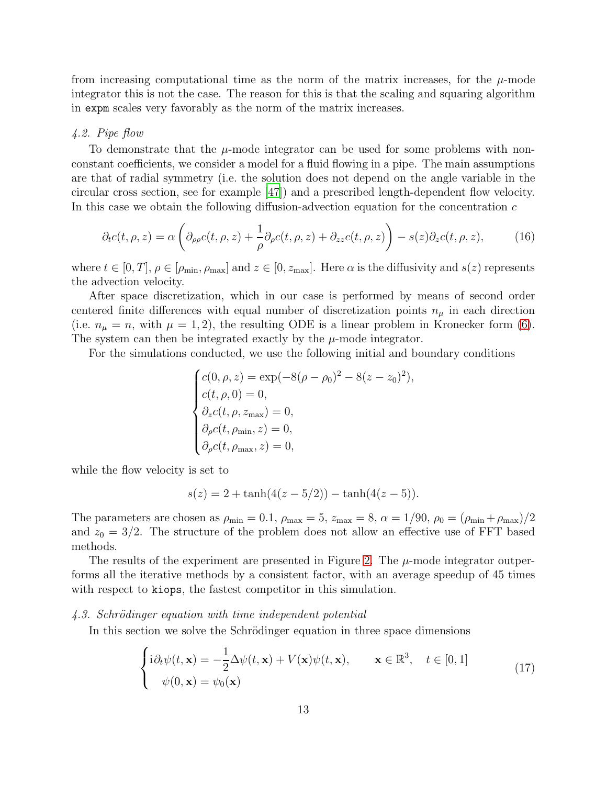from increasing computational time as the norm of the matrix increases, for the  $\mu$ -mode integrator this is not the case. The reason for this is that the scaling and squaring algorithm in expm scales very favorably as the norm of the matrix increases.

#### <span id="page-12-0"></span>4.2. Pipe flow

To demonstrate that the  $\mu$ -mode integrator can be used for some problems with nonconstant coefficients, we consider a model for a fluid flowing in a pipe. The main assumptions are that of radial symmetry (i.e. the solution does not depend on the angle variable in the circular cross section, see for example [\[47\]](#page-25-3)) and a prescribed length-dependent flow velocity. In this case we obtain the following diffusion-advection equation for the concentration  $c$ 

<span id="page-12-2"></span>
$$
\partial_t c(t,\rho,z) = \alpha \left( \partial_{\rho\rho} c(t,\rho,z) + \frac{1}{\rho} \partial_{\rho} c(t,\rho,z) + \partial_{zz} c(t,\rho,z) \right) - s(z) \partial_z c(t,\rho,z), \tag{16}
$$

where  $t \in [0, T]$ ,  $\rho \in [\rho_{\min}, \rho_{\max}]$  and  $z \in [0, z_{\max}]$ . Here  $\alpha$  is the diffusivity and  $s(z)$  represents the advection velocity.

After space discretization, which in our case is performed by means of second order centered finite differences with equal number of discretization points  $n_{\mu}$  in each direction (i.e.  $n_{\mu} = n$ , with  $\mu = 1, 2$ ), the resulting ODE is a linear problem in Kronecker form [\(6\)](#page-3-1). The system can then be integrated exactly by the  $\mu$ -mode integrator.

For the simulations conducted, we use the following initial and boundary conditions

$$
\begin{cases}\nc(0, \rho, z) = \exp(-8(\rho - \rho_0)^2 - 8(z - z_0)^2), \\
c(t, \rho, 0) = 0, \\
\partial_z c(t, \rho, z_{\text{max}}) = 0, \\
\partial_\rho c(t, \rho_{\text{min}}, z) = 0, \\
\partial_\rho c(t, \rho_{\text{max}}, z) = 0,\n\end{cases}
$$

while the flow velocity is set to

$$
s(z) = 2 + \tanh(4(z - 5/2)) - \tanh(4(z - 5)).
$$

The parameters are chosen as  $\rho_{\min} = 0.1$ ,  $\rho_{\max} = 5$ ,  $z_{\max} = 8$ ,  $\alpha = 1/90$ ,  $\rho_0 = (\rho_{\min} + \rho_{\max})/2$ and  $z_0 = 3/2$ . The structure of the problem does not allow an effective use of FFT based methods.

The results of the experiment are presented in Figure [2.](#page-13-0) The  $\mu$ -mode integrator outperforms all the iterative methods by a consistent factor, with an average speedup of 45 times with respect to kiops, the fastest competitor in this simulation.

#### <span id="page-12-1"></span> $4.3.$  Schrödinger equation with time independent potential

In this section we solve the Schrödinger equation in three space dimensions

<span id="page-12-3"></span>
$$
\begin{cases}\ni\partial_t\psi(t,\mathbf{x}) = -\frac{1}{2}\Delta\psi(t,\mathbf{x}) + V(\mathbf{x})\psi(t,\mathbf{x}), & \mathbf{x} \in \mathbb{R}^3, \quad t \in [0,1] \\
\psi(0,\mathbf{x}) = \psi_0(\mathbf{x})\n\end{cases} (17)
$$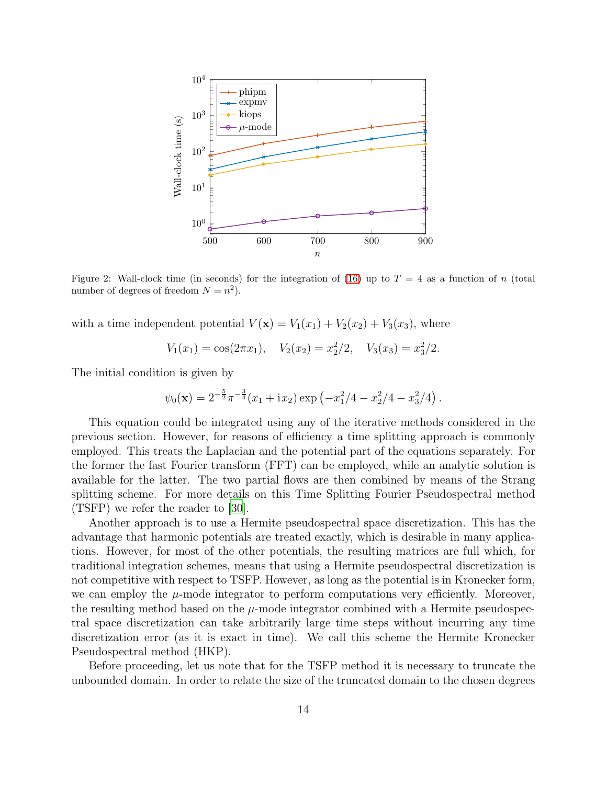

<span id="page-13-0"></span>Figure 2: Wall-clock time (in seconds) for the integration of [\(16\)](#page-12-2) up to  $T = 4$  as a function of n (total number of degrees of freedom  $N = n^2$ ).

with a time independent potential  $V(\mathbf{x}) = V_1(x_1) + V_2(x_2) + V_3(x_3)$ , where

$$
V_1(x_1) = \cos(2\pi x_1), \quad V_2(x_2) = x_2^2/2, \quad V_3(x_3) = x_3^2/2.
$$

The initial condition is given by

$$
\psi_0(\mathbf{x}) = 2^{-\frac{5}{2}} \pi^{-\frac{3}{4}} (x_1 + ix_2) \exp \left(-x_1^2/4 - x_2^2/4 - x_3^2/4\right).
$$

This equation could be integrated using any of the iterative methods considered in the previous section. However, for reasons of efficiency a time splitting approach is commonly employed. This treats the Laplacian and the potential part of the equations separately. For the former the fast Fourier transform (FFT) can be employed, while an analytic solution is available for the latter. The two partial flows are then combined by means of the Strang splitting scheme. For more details on this Time Splitting Fourier Pseudospectral method (TSFP) we refer the reader to [\[30](#page-24-9)].

Another approach is to use a Hermite pseudospectral space discretization. This has the advantage that harmonic potentials are treated exactly, which is desirable in many applications. However, for most of the other potentials, the resulting matrices are full which, for traditional integration schemes, means that using a Hermite pseudospectral discretization is not competitive with respect to TSFP. However, as long as the potential is in Kronecker form, we can employ the  $\mu$ -mode integrator to perform computations very efficiently. Moreover, the resulting method based on the  $\mu$ -mode integrator combined with a Hermite pseudospectral space discretization can take arbitrarily large time steps without incurring any time discretization error (as it is exact in time). We call this scheme the Hermite Kronecker Pseudospectral method (HKP).

Before proceeding, let us note that for the TSFP method it is necessary to truncate the unbounded domain. In order to relate the size of the truncated domain to the chosen degrees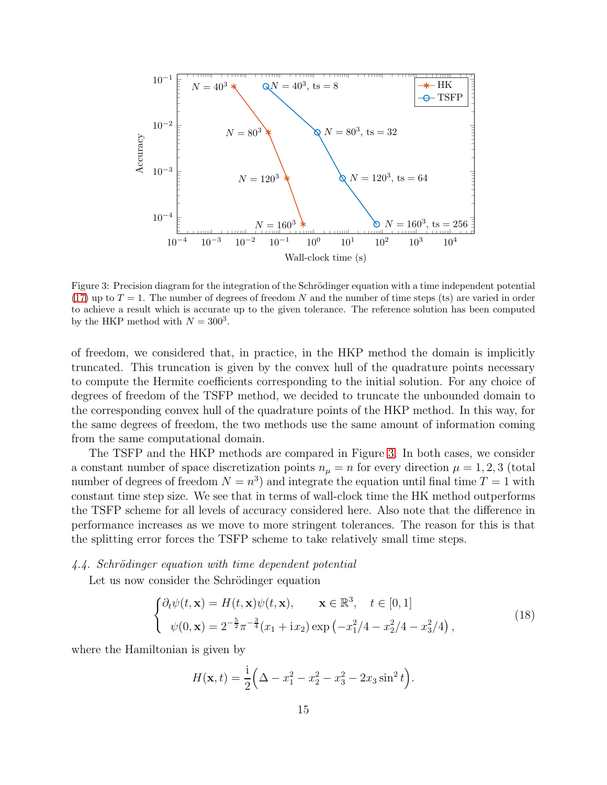

<span id="page-14-1"></span>Figure 3: Precision diagram for the integration of the Schrödinger equation with a time independent potential [\(17\)](#page-12-3) up to  $T = 1$ . The number of degrees of freedom N and the number of time steps (ts) are varied in order to achieve a result which is accurate up to the given tolerance. The reference solution has been computed by the HKP method with  $N = 300^3$ .

of freedom, we considered that, in practice, in the HKP method the domain is implicitly truncated. This truncation is given by the convex hull of the quadrature points necessary to compute the Hermite coefficients corresponding to the initial solution. For any choice of degrees of freedom of the TSFP method, we decided to truncate the unbounded domain to the corresponding convex hull of the quadrature points of the HKP method. In this way, for the same degrees of freedom, the two methods use the same amount of information coming from the same computational domain.

The TSFP and the HKP methods are compared in Figure [3.](#page-14-1) In both cases, we consider a constant number of space discretization points  $n_{\mu} = n$  for every direction  $\mu = 1, 2, 3$  (total number of degrees of freedom  $N = n<sup>3</sup>$  and integrate the equation until final time  $T = 1$  with constant time step size. We see that in terms of wall-clock time the HK method outperforms the TSFP scheme for all levels of accuracy considered here. Also note that the difference in performance increases as we move to more stringent tolerances. The reason for this is that the splitting error forces the TSFP scheme to take relatively small time steps.

#### <span id="page-14-0"></span>4.4. Schrödinger equation with time dependent potential

Let us now consider the Schrödinger equation

<span id="page-14-2"></span>
$$
\begin{cases} \partial_t \psi(t, \mathbf{x}) = H(t, \mathbf{x}) \psi(t, \mathbf{x}), & \mathbf{x} \in \mathbb{R}^3, \quad t \in [0, 1] \\ \psi(0, \mathbf{x}) = 2^{-\frac{5}{2}} \pi^{-\frac{3}{4}} (x_1 + ix_2) \exp\left(-x_1^2/4 - x_2^2/4 - x_3^2/4\right), \end{cases}
$$
(18)

where the Hamiltonian is given by

$$
H(\mathbf{x},t) = \frac{1}{2} \Big( \Delta - x_1^2 - x_2^2 - x_3^2 - 2x_3 \sin^2 t \Big).
$$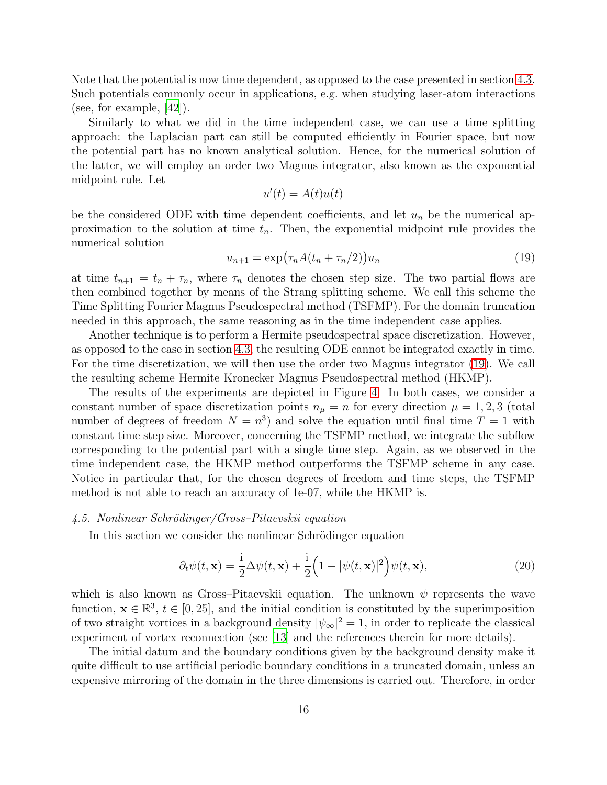Note that the potential is now time dependent, as opposed to the case presented in section [4.3.](#page-12-1) Such potentials commonly occur in applications, e.g. when studying laser-atom interactions (see, for example, [\[42\]](#page-24-10)).

Similarly to what we did in the time independent case, we can use a time splitting approach: the Laplacian part can still be computed efficiently in Fourier space, but now the potential part has no known analytical solution. Hence, for the numerical solution of the latter, we will employ an order two Magnus integrator, also known as the exponential midpoint rule. Let

$$
u'(t) = A(t)u(t)
$$

be the considered ODE with time dependent coefficients, and let  $u_n$  be the numerical approximation to the solution at time  $t_n$ . Then, the exponential midpoint rule provides the numerical solution

<span id="page-15-1"></span>
$$
u_{n+1} = \exp\left(\tau_n A(t_n + \tau_n/2)\right) u_n \tag{19}
$$

at time  $t_{n+1} = t_n + \tau_n$ , where  $\tau_n$  denotes the chosen step size. The two partial flows are then combined together by means of the Strang splitting scheme. We call this scheme the Time Splitting Fourier Magnus Pseudospectral method (TSFMP). For the domain truncation needed in this approach, the same reasoning as in the time independent case applies.

Another technique is to perform a Hermite pseudospectral space discretization. However, as opposed to the case in section [4.3,](#page-12-1) the resulting ODE cannot be integrated exactly in time. For the time discretization, we will then use the order two Magnus integrator [\(19\)](#page-15-1). We call the resulting scheme Hermite Kronecker Magnus Pseudospectral method (HKMP).

The results of the experiments are depicted in Figure [4.](#page-16-1) In both cases, we consider a constant number of space discretization points  $n_{\mu} = n$  for every direction  $\mu = 1, 2, 3$  (total number of degrees of freedom  $N = n^3$  and solve the equation until final time  $T = 1$  with constant time step size. Moreover, concerning the TSFMP method, we integrate the subflow corresponding to the potential part with a single time step. Again, as we observed in the time independent case, the HKMP method outperforms the TSFMP scheme in any case. Notice in particular that, for the chosen degrees of freedom and time steps, the TSFMP method is not able to reach an accuracy of 1e-07, while the HKMP is.

## <span id="page-15-0"></span>4.5. Nonlinear Schrödinger/Gross–Pitaevskii equation

In this section we consider the nonlinear Schrödinger equation

<span id="page-15-2"></span>
$$
\partial_t \psi(t, \mathbf{x}) = \frac{i}{2} \Delta \psi(t, \mathbf{x}) + \frac{i}{2} \left( 1 - |\psi(t, \mathbf{x})|^2 \right) \psi(t, \mathbf{x}), \tag{20}
$$

which is also known as Gross–Pitaevskii equation. The unknown  $\psi$  represents the wave function,  $\mathbf{x} \in \mathbb{R}^3$ ,  $t \in [0, 25]$ , and the initial condition is constituted by the superimposition of two straight vortices in a background density  $|\psi_{\infty}|^2 = 1$ , in order to replicate the classical experiment of vortex reconnection (see [\[13\]](#page-22-8) and the references therein for more details).

The initial datum and the boundary conditions given by the background density make it quite difficult to use artificial periodic boundary conditions in a truncated domain, unless an expensive mirroring of the domain in the three dimensions is carried out. Therefore, in order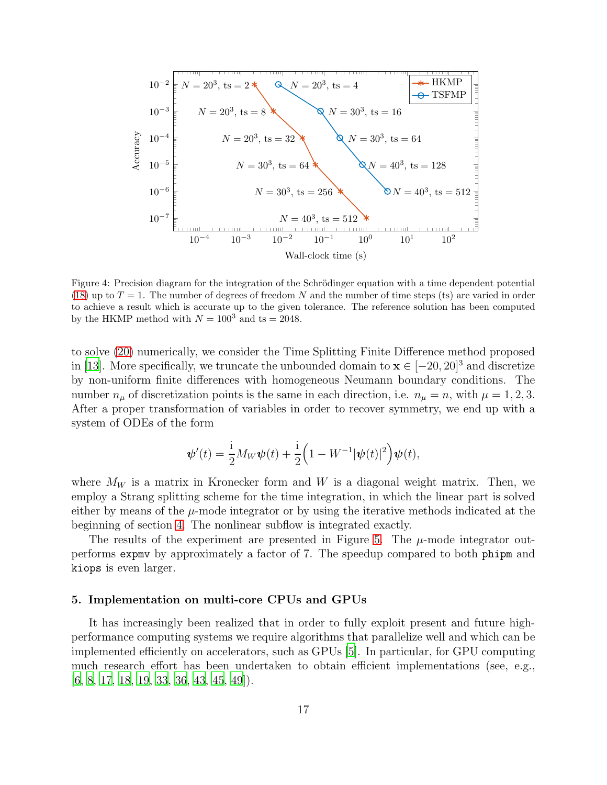

<span id="page-16-1"></span>Figure 4: Precision diagram for the integration of the Schrödinger equation with a time dependent potential [\(18\)](#page-14-2) up to  $T = 1$ . The number of degrees of freedom N and the number of time steps (ts) are varied in order to achieve a result which is accurate up to the given tolerance. The reference solution has been computed by the HKMP method with  $N = 100^3$  and ts = 2048.

to solve [\(20\)](#page-15-2) numerically, we consider the Time Splitting Finite Difference method proposed in [\[13\]](#page-22-8). More specifically, we truncate the unbounded domain to  $\mathbf{x} \in [-20, 20]^3$  and discretize by non-uniform finite differences with homogeneous Neumann boundary conditions. The number  $n_{\mu}$  of discretization points is the same in each direction, i.e.  $n_{\mu} = n$ , with  $\mu = 1, 2, 3$ . After a proper transformation of variables in order to recover symmetry, we end up with a system of ODEs of the form

$$
\psi'(t) = \frac{1}{2} M_W \psi(t) + \frac{1}{2} \Big( 1 - W^{-1} |\psi(t)|^2 \Big) \psi(t),
$$

where  $M_W$  is a matrix in Kronecker form and W is a diagonal weight matrix. Then, we employ a Strang splitting scheme for the time integration, in which the linear part is solved either by means of the  $\mu$ -mode integrator or by using the iterative methods indicated at the beginning of section [4.](#page-8-0) The nonlinear subflow is integrated exactly.

The results of the experiment are presented in Figure [5.](#page-17-0) The  $\mu$ -mode integrator outperforms expmv by approximately a factor of 7. The speedup compared to both phipm and kiops is even larger.

#### <span id="page-16-0"></span>5. Implementation on multi-core CPUs and GPUs

It has increasingly been realized that in order to fully exploit present and future highperformance computing systems we require algorithms that parallelize well and which can be implemented efficiently on accelerators, such as GPUs [\[5](#page-22-9)]. In particular, for GPU computing much research effort has been undertaken to obtain efficient implementations (see, e.g., [\[6](#page-22-10), [8](#page-22-11), [17,](#page-23-11) [18,](#page-23-12) [19,](#page-23-13) [33,](#page-24-11) [36,](#page-24-12) [43](#page-25-4), [45](#page-25-5), [49](#page-25-6)]).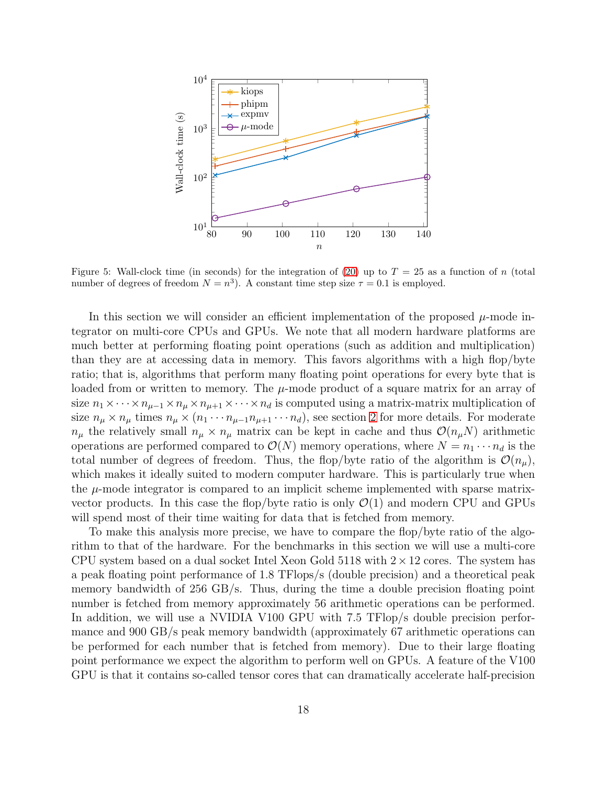

<span id="page-17-0"></span>Figure 5: Wall-clock time (in seconds) for the integration of [\(20\)](#page-15-2) up to  $T = 25$  as a function of n (total number of degrees of freedom  $N = n^3$ ). A constant time step size  $\tau = 0.1$  is employed.

In this section we will consider an efficient implementation of the proposed  $\mu$ -mode integrator on multi-core CPUs and GPUs. We note that all modern hardware platforms are much better at performing floating point operations (such as addition and multiplication) than they are at accessing data in memory. This favors algorithms with a high flop/byte ratio; that is, algorithms that perform many floating point operations for every byte that is loaded from or written to memory. The  $\mu$ -mode product of a square matrix for an array of size  $n_1 \times \cdots \times n_{\mu-1} \times n_{\mu} \times n_{\mu+1} \times \cdots \times n_d$  is computed using a matrix-matrix multiplication of size  $n_{\mu} \times n_{\mu}$  times  $n_{\mu} \times (n_1 \cdots n_{\mu-1} n_{\mu+1} \cdots n_d)$ , see section [2](#page-2-0) for more details. For moderate  $n_{\mu}$  the relatively small  $n_{\mu} \times n_{\mu}$  matrix can be kept in cache and thus  $\mathcal{O}(n_{\mu}N)$  arithmetic operations are performed compared to  $\mathcal{O}(N)$  memory operations, where  $N = n_1 \cdots n_d$  is the total number of degrees of freedom. Thus, the flop/byte ratio of the algorithm is  $\mathcal{O}(n_{\mu}),$ which makes it ideally suited to modern computer hardware. This is particularly true when the  $\mu$ -mode integrator is compared to an implicit scheme implemented with sparse matrixvector products. In this case the flop/byte ratio is only  $\mathcal{O}(1)$  and modern CPU and GPUs will spend most of their time waiting for data that is fetched from memory.

To make this analysis more precise, we have to compare the flop/byte ratio of the algorithm to that of the hardware. For the benchmarks in this section we will use a multi-core CPU system based on a dual socket Intel Xeon Gold 5118 with  $2 \times 12$  cores. The system has a peak floating point performance of 1.8 TFlops/s (double precision) and a theoretical peak memory bandwidth of 256 GB/s. Thus, during the time a double precision floating point number is fetched from memory approximately 56 arithmetic operations can be performed. In addition, we will use a NVIDIA V100 GPU with 7.5 TFlop/s double precision performance and 900 GB/s peak memory bandwidth (approximately 67 arithmetic operations can be performed for each number that is fetched from memory). Due to their large floating point performance we expect the algorithm to perform well on GPUs. A feature of the V100 GPU is that it contains so-called tensor cores that can dramatically accelerate half-precision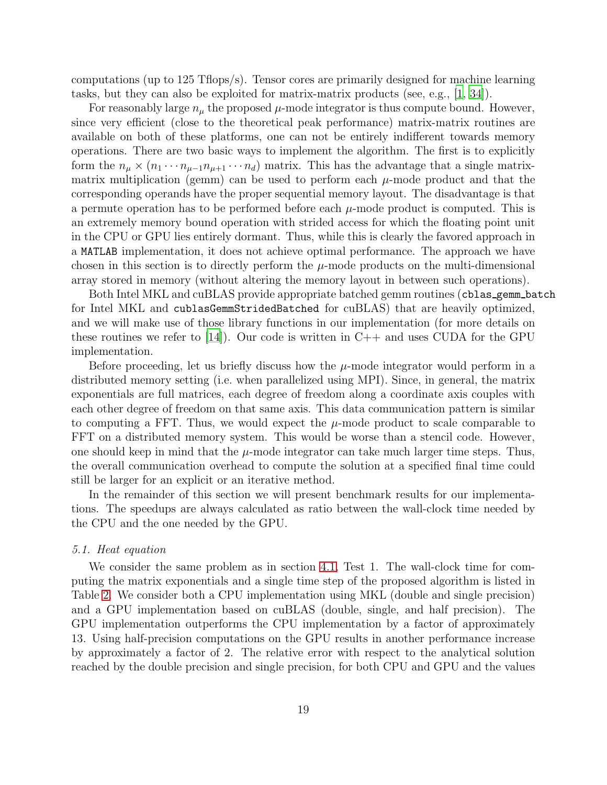computations (up to 125 Tflops/s). Tensor cores are primarily designed for machine learning tasks, but they can also be exploited for matrix-matrix products (see, e.g., [\[1](#page-22-12), [34\]](#page-24-13)).

For reasonably large  $n_{\mu}$  the proposed  $\mu$ -mode integrator is thus compute bound. However, since very efficient (close to the theoretical peak performance) matrix-matrix routines are available on both of these platforms, one can not be entirely indifferent towards memory operations. There are two basic ways to implement the algorithm. The first is to explicitly form the  $n_{\mu} \times (n_1 \cdots n_{\mu-1} n_{\mu+1} \cdots n_d)$  matrix. This has the advantage that a single matrixmatrix multiplication (gemm) can be used to perform each  $\mu$ -mode product and that the corresponding operands have the proper sequential memory layout. The disadvantage is that a permute operation has to be performed before each  $\mu$ -mode product is computed. This is an extremely memory bound operation with strided access for which the floating point unit in the CPU or GPU lies entirely dormant. Thus, while this is clearly the favored approach in a MATLAB implementation, it does not achieve optimal performance. The approach we have chosen in this section is to directly perform the  $\mu$ -mode products on the multi-dimensional array stored in memory (without altering the memory layout in between such operations).

Both Intel MKL and cuBLAS provide appropriate batched gemm routines (cblas\_gemm\_batch for Intel MKL and cublasGemmStridedBatched for cuBLAS) that are heavily optimized, and we will make use of those library functions in our implementation (for more details on these routines we refer to  $[14]$ . Our code is written in C++ and uses CUDA for the GPU implementation.

Before proceeding, let us briefly discuss how the  $\mu$ -mode integrator would perform in a distributed memory setting (i.e. when parallelized using MPI). Since, in general, the matrix exponentials are full matrices, each degree of freedom along a coordinate axis couples with each other degree of freedom on that same axis. This data communication pattern is similar to computing a FFT. Thus, we would expect the  $\mu$ -mode product to scale comparable to FFT on a distributed memory system. This would be worse than a stencil code. However, one should keep in mind that the  $\mu$ -mode integrator can take much larger time steps. Thus, the overall communication overhead to compute the solution at a specified final time could still be larger for an explicit or an iterative method.

In the remainder of this section we will present benchmark results for our implementations. The speedups are always calculated as ratio between the wall-clock time needed by the CPU and the one needed by the GPU.

## 5.1. Heat equation

We consider the same problem as in section [4.1,](#page-9-0) Test 1. The wall-clock time for computing the matrix exponentials and a single time step of the proposed algorithm is listed in Table [2.](#page-19-0) We consider both a CPU implementation using MKL (double and single precision) and a GPU implementation based on cuBLAS (double, single, and half precision). The GPU implementation outperforms the CPU implementation by a factor of approximately 13. Using half-precision computations on the GPU results in another performance increase by approximately a factor of 2. The relative error with respect to the analytical solution reached by the double precision and single precision, for both CPU and GPU and the values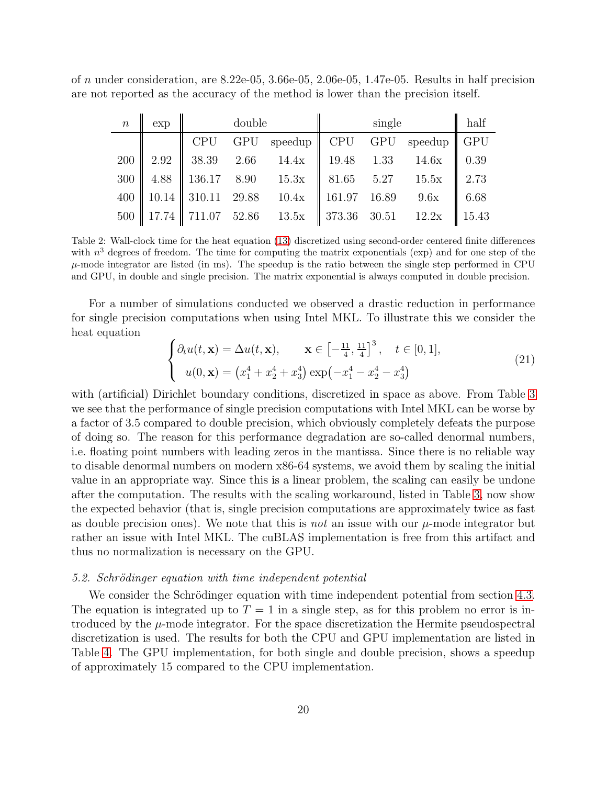of n under consideration, are  $8.22e-05$ ,  $3.66e-05$ ,  $2.06e-05$ ,  $1.47e-05$ . Results in half precision are not reported as the accuracy of the method is lower than the precision itself.

| $\lfloor n \rfloor$ | exp | double |  |                                                                                                         | single |  |  | $\ $ half |
|---------------------|-----|--------|--|---------------------------------------------------------------------------------------------------------|--------|--|--|-----------|
|                     |     |        |  | CPU GPU speedup $\parallel$ CPU GPU speedup $\parallel$ GPU                                             |        |  |  |           |
|                     |     |        |  | 200   2.92   38.39 2.66 14.4x   19.48 1.33 14.6x   0.39                                                 |        |  |  |           |
|                     |     |        |  | 300   4.88   136.17 8.90 15.3x   81.65 5.27 15.5x   2.73                                                |        |  |  |           |
|                     |     |        |  | 400    10.14    310.11 29.88 10.4x    161.97 16.89 9.6x    6.68                                         |        |  |  |           |
|                     |     |        |  | $500 \parallel 17.74 \parallel 711.07$ $52.86$ $13.5x \parallel 373.36$ $30.51$ $12.2x \parallel 15.43$ |        |  |  |           |

<span id="page-19-0"></span>Table 2: Wall-clock time for the heat equation [\(13\)](#page-9-1) discretized using second-order centered finite differences with  $n^3$  degrees of freedom. The time for computing the matrix exponentials (exp) and for one step of the  $\mu$ -mode integrator are listed (in ms). The speedup is the ratio between the single step performed in CPU and GPU, in double and single precision. The matrix exponential is always computed in double precision.

For a number of simulations conducted we observed a drastic reduction in performance for single precision computations when using Intel MKL. To illustrate this we consider the heat equation

<span id="page-19-1"></span>
$$
\begin{cases} \partial_t u(t, \mathbf{x}) = \Delta u(t, \mathbf{x}), & \mathbf{x} \in \left[ -\frac{11}{4}, \frac{11}{4} \right]^3, \quad t \in [0, 1], \\ u(0, \mathbf{x}) = \left( x_1^4 + x_2^4 + x_3^4 \right) \exp\left( -x_1^4 - x_2^4 - x_3^4 \right) \end{cases}
$$
(21)

with (artificial) Dirichlet boundary conditions, discretized in space as above. From Table [3](#page-20-1) we see that the performance of single precision computations with Intel MKL can be worse by a factor of 3.5 compared to double precision, which obviously completely defeats the purpose of doing so. The reason for this performance degradation are so-called denormal numbers, i.e. floating point numbers with leading zeros in the mantissa. Since there is no reliable way to disable denormal numbers on modern x86-64 systems, we avoid them by scaling the initial value in an appropriate way. Since this is a linear problem, the scaling can easily be undone after the computation. The results with the scaling workaround, listed in Table [3,](#page-20-1) now show the expected behavior (that is, single precision computations are approximately twice as fast as double precision ones). We note that this is *not* an issue with our  $\mu$ -mode integrator but rather an issue with Intel MKL. The cuBLAS implementation is free from this artifact and thus no normalization is necessary on the GPU.

## 5.2. Schrödinger equation with time independent potential

We consider the Schrödinger equation with time independent potential from section [4.3.](#page-12-1) The equation is integrated up to  $T = 1$  in a single step, as for this problem no error is introduced by the  $\mu$ -mode integrator. For the space discretization the Hermite pseudospectral discretization is used. The results for both the CPU and GPU implementation are listed in Table [4.](#page-20-2) The GPU implementation, for both single and double precision, shows a speedup of approximately 15 compared to the CPU implementation.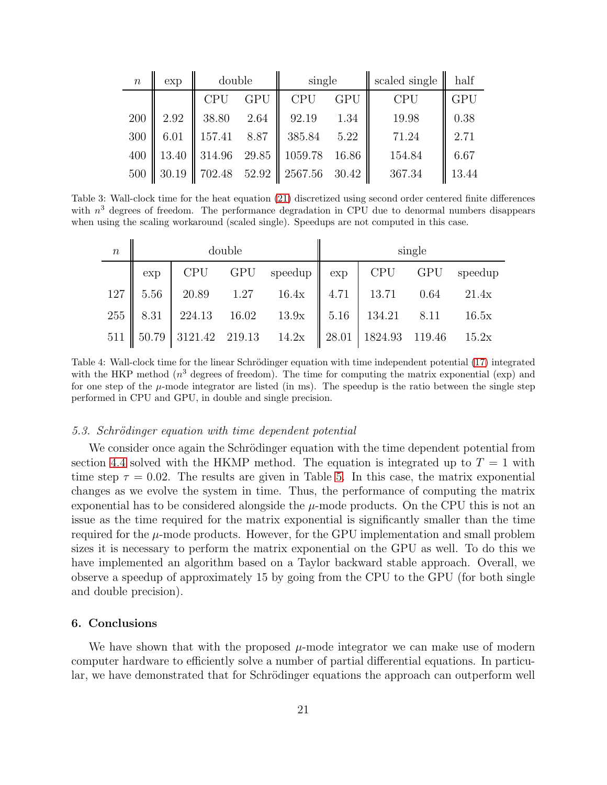| $\boldsymbol{n}$ | exp   | double         |            | single     |            | scaled single | half       |
|------------------|-------|----------------|------------|------------|------------|---------------|------------|
|                  |       | <b>CPU</b>     | <b>GPU</b> | <b>CPU</b> | <b>GPU</b> | <b>CPU</b>    | <b>GPU</b> |
| 200              | 2.92  | 38.80          | 2.64       | 92.19      | 1.34       | 19.98         | 0.38       |
| 300              | 6.01  | 157.41 8.87    |            | 385.84     | 5.22       | 71.24         | 2.71       |
| 400              | 13.40 | 314.96 29.85   |            | 1059.78    | 16.86      | 154.84        | 6.67       |
| 500              | 30.19 | $702.48$ 52.92 |            | 2567.56    | 30.42      | 367.34        | 13.44      |

Table 3: Wall-clock time for the heat equation [\(21\)](#page-19-1) discretized using second order centered finite differences with  $n^3$  degrees of freedom. The performance degradation in CPU due to denormal numbers disappears when using the scaling workaround (scaled single). Speedups are not computed in this case.

<span id="page-20-1"></span>

| $\boldsymbol{n}$ | double |  |  |                                                                                                   | single |                 |  |  |
|------------------|--------|--|--|---------------------------------------------------------------------------------------------------|--------|-----------------|--|--|
|                  | exp    |  |  | $CPU$ GPU speedup $\parallel$ exp                                                                 |        | CPU GPU speedup |  |  |
|                  |        |  |  | $127 \parallel 5.56 \parallel 20.89$ $1.27$ $16.4x \parallel 4.71 \parallel 13.71$ $0.64$ $21.4x$ |        |                 |  |  |
|                  |        |  |  |                                                                                                   |        |                 |  |  |
|                  |        |  |  | 511    50.79   3121.42   219.13   14.2x    28.01   1824.93   119.46   15.2x                       |        |                 |  |  |

<span id="page-20-2"></span>Table 4: Wall-clock time for the linear Schrödinger equation with time independent potential [\(17\)](#page-12-3) integrated with the HKP method  $(n^3$  degrees of freedom). The time for computing the matrix exponential (exp) and for one step of the  $\mu$ -mode integrator are listed (in ms). The speedup is the ratio between the single step performed in CPU and GPU, in double and single precision.

#### 5.3. Schrödinger equation with time dependent potential

We consider once again the Schrödinger equation with the time dependent potential from section [4.4](#page-14-0) solved with the HKMP method. The equation is integrated up to  $T = 1$  with time step  $\tau = 0.02$ . The results are given in Table [5.](#page-21-0) In this case, the matrix exponential changes as we evolve the system in time. Thus, the performance of computing the matrix exponential has to be considered alongside the  $\mu$ -mode products. On the CPU this is not an issue as the time required for the matrix exponential is significantly smaller than the time required for the  $\mu$ -mode products. However, for the GPU implementation and small problem sizes it is necessary to perform the matrix exponential on the GPU as well. To do this we have implemented an algorithm based on a Taylor backward stable approach. Overall, we observe a speedup of approximately 15 by going from the CPU to the GPU (for both single and double precision).

#### <span id="page-20-0"></span>6. Conclusions

We have shown that with the proposed  $\mu$ -mode integrator we can make use of modern computer hardware to efficiently solve a number of partial differential equations. In particular, we have demonstrated that for Schrödinger equations the approach can outperform well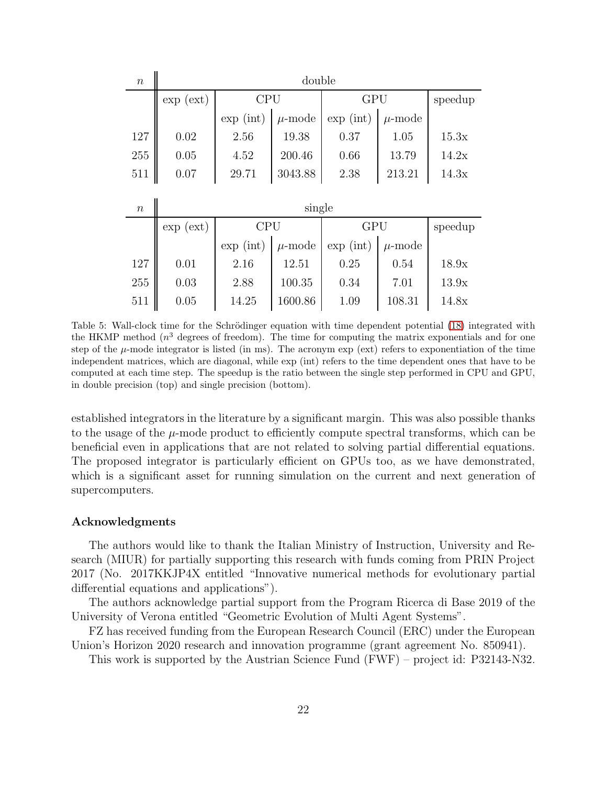| $\boldsymbol{n}$ | double             |                                   |             |                                 |             |       |  |  |  |
|------------------|--------------------|-----------------------------------|-------------|---------------------------------|-------------|-------|--|--|--|
|                  | $\exp(\text{ext})$ | <b>CPU</b>                        |             | GPU                             | speedup     |       |  |  |  |
|                  |                    | $\exp(\text{int})$<br>$\mu$ -mode |             | $\exp\left(\mathrm{int}\right)$ | $\mu$ -mode |       |  |  |  |
| 127              | 0.02               | 2.56                              | 19.38       | 0.37                            | 1.05        | 15.3x |  |  |  |
| 255              | 0.05               | 200.46<br>4.52                    |             | 0.66                            | 13.79       | 14.2x |  |  |  |
| 511              | 0.07               | 29.71                             | 3043.88     | 2.38                            | 213.21      | 14.3x |  |  |  |
|                  |                    |                                   |             |                                 |             |       |  |  |  |
| $\boldsymbol{n}$ | single             |                                   |             |                                 |             |       |  |  |  |
|                  | $\exp(\text{ext})$ | <b>CPU</b>                        |             | GPU                             | speedup     |       |  |  |  |
|                  |                    | $\exp(\text{int})$                | $\mu$ -mode | $\exp\left(\mathrm{int}\right)$ | $\mu$ -mode |       |  |  |  |
| 127              | 0.01               | 2.16                              | 12.51       | 0.25                            | 0.54        | 18.9x |  |  |  |
| 255              | 0.03               | 2.88                              | 100.35      | 0.34                            | 7.01        | 13.9x |  |  |  |
| 511              | 0.05               | 14.25                             | 1600.86     | 1.09                            | 108.31      | 14.8x |  |  |  |

<span id="page-21-0"></span>Table 5: Wall-clock time for the Schrödinger equation with time dependent potential [\(18\)](#page-14-2) integrated with the HKMP method  $(n^3$  degrees of freedom). The time for computing the matrix exponentials and for one step of the  $\mu$ -mode integrator is listed (in ms). The acronym exp (ext) refers to exponentiation of the time independent matrices, which are diagonal, while exp (int) refers to the time dependent ones that have to be computed at each time step. The speedup is the ratio between the single step performed in CPU and GPU, in double precision (top) and single precision (bottom).

established integrators in the literature by a significant margin. This was also possible thanks to the usage of the  $\mu$ -mode product to efficiently compute spectral transforms, which can be beneficial even in applications that are not related to solving partial differential equations. The proposed integrator is particularly efficient on GPUs too, as we have demonstrated, which is a significant asset for running simulation on the current and next generation of supercomputers.

#### Acknowledgments

The authors would like to thank the Italian Ministry of Instruction, University and Research (MIUR) for partially supporting this research with funds coming from PRIN Project 2017 (No. 2017KKJP4X entitled "Innovative numerical methods for evolutionary partial differential equations and applications").

The authors acknowledge partial support from the Program Ricerca di Base 2019 of the University of Verona entitled "Geometric Evolution of Multi Agent Systems".

FZ has received funding from the European Research Council (ERC) under the European Union's Horizon 2020 research and innovation programme (grant agreement No. 850941).

This work is supported by the Austrian Science Fund (FWF) – project id: P32143-N32.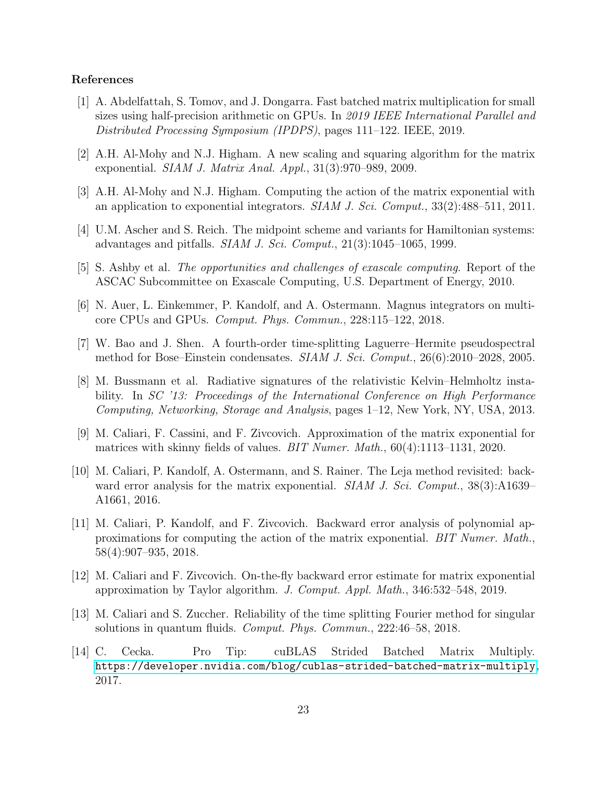## References

- <span id="page-22-12"></span>[1] A. Abdelfattah, S. Tomov, and J. Dongarra. Fast batched matrix multiplication for small sizes using half-precision arithmetic on GPUs. In 2019 IEEE International Parallel and Distributed Processing Symposium (IPDPS), pages 111–122. IEEE, 2019.
- <span id="page-22-6"></span>[2] A.H. Al-Mohy and N.J. Higham. A new scaling and squaring algorithm for the matrix exponential. SIAM J. Matrix Anal. Appl., 31(3):970–989, 2009.
- <span id="page-22-1"></span>[3] A.H. Al-Mohy and N.J. Higham. Computing the action of the matrix exponential with an application to exponential integrators.  $SIAM J. Sci. Comput., 33(2):488-511, 2011.$
- <span id="page-22-0"></span>[4] U.M. Ascher and S. Reich. The midpoint scheme and variants for Hamiltonian systems: advantages and pitfalls.  $SIAM J. Sci. Comput., 21(3):1045-1065, 1999.$
- <span id="page-22-9"></span>[5] S. Ashby et al. The opportunities and challenges of exascale computing. Report of the ASCAC Subcommittee on Exascale Computing, U.S. Department of Energy, 2010.
- <span id="page-22-10"></span>[6] N. Auer, L. Einkemmer, P. Kandolf, and A. Ostermann. Magnus integrators on multicore CPUs and GPUs. Comput. Phys. Commun., 228:115–122, 2018.
- <span id="page-22-5"></span>[7] W. Bao and J. Shen. A fourth-order time-splitting Laguerre–Hermite pseudospectral method for Bose–Einstein condensates. SIAM J. Sci. Comput., 26(6):2010–2028, 2005.
- <span id="page-22-11"></span>[8] M. Bussmann et al. Radiative signatures of the relativistic Kelvin–Helmholtz instability. In SC '13: Proceedings of the International Conference on High Performance Computing, Networking, Storage and Analysis, pages 1–12, New York, NY, USA, 2013.
- <span id="page-22-2"></span>[9] M. Caliari, F. Cassini, and F. Zivcovich. Approximation of the matrix exponential for matrices with skinny fields of values. BIT Numer. Math., 60(4):1113–1131, 2020.
- <span id="page-22-3"></span>[10] M. Caliari, P. Kandolf, A. Ostermann, and S. Rainer. The Leja method revisited: backward error analysis for the matrix exponential. SIAM J. Sci. Comput.,  $38(3)$ : A1639– A1661, 2016.
- <span id="page-22-4"></span>[11] M. Caliari, P. Kandolf, and F. Zivcovich. Backward error analysis of polynomial approximations for computing the action of the matrix exponential. BIT Numer. Math., 58(4):907–935, 2018.
- <span id="page-22-7"></span>[12] M. Caliari and F. Zivcovich. On-the-fly backward error estimate for matrix exponential approximation by Taylor algorithm. J. Comput. Appl. Math., 346:532–548, 2019.
- <span id="page-22-8"></span>[13] M. Caliari and S. Zuccher. Reliability of the time splitting Fourier method for singular solutions in quantum fluids. Comput. Phys. Commun., 222:46–58, 2018.
- <span id="page-22-13"></span>[14] C. Cecka. Pro Tip: cuBLAS Strided Batched Matrix Multiply. <https://developer.nvidia.com/blog/cublas-strided-batched-matrix-multiply>, 2017.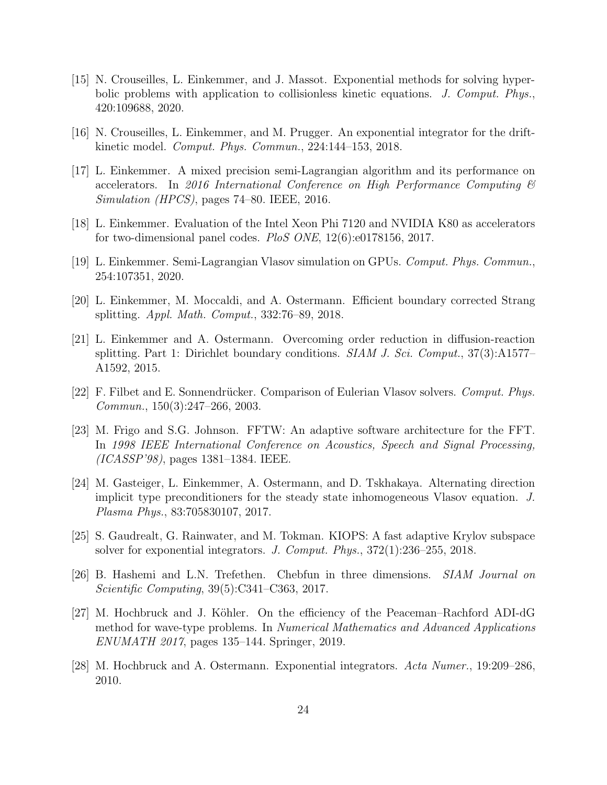- <span id="page-23-3"></span>[15] N. Crouseilles, L. Einkemmer, and J. Massot. Exponential methods for solving hyperbolic problems with application to collisionless kinetic equations. J. Comput. Phys., 420:109688, 2020.
- <span id="page-23-4"></span>[16] N. Crouseilles, L. Einkemmer, and M. Prugger. An exponential integrator for the driftkinetic model. Comput. Phys. Commun., 224:144–153, 2018.
- <span id="page-23-11"></span>[17] L. Einkemmer. A mixed precision semi-Lagrangian algorithm and its performance on accelerators. In 2016 International Conference on High Performance Computing & Simulation (HPCS), pages 74–80. IEEE, 2016.
- <span id="page-23-12"></span>[18] L. Einkemmer. Evaluation of the Intel Xeon Phi 7120 and NVIDIA K80 as accelerators for two-dimensional panel codes. PloS ONE, 12(6):e0178156, 2017.
- <span id="page-23-13"></span>[19] L. Einkemmer. Semi-Lagrangian Vlasov simulation on GPUs. Comput. Phys. Commun., 254:107351, 2020.
- <span id="page-23-6"></span>[20] L. Einkemmer, M. Moccaldi, and A. Ostermann. Efficient boundary corrected Strang splitting. Appl. Math. Comput., 332:76–89, 2018.
- <span id="page-23-7"></span>[21] L. Einkemmer and A. Ostermann. Overcoming order reduction in diffusion-reaction splitting. Part 1: Dirichlet boundary conditions.  $SIAM J. Sci. Comput., 37(3):A1577-$ A1592, 2015.
- <span id="page-23-5"></span>[22] F. Filbet and E. Sonnendrücker. Comparison of Eulerian Vlasov solvers. Comput. Phys. Commun., 150(3):247–266, 2003.
- <span id="page-23-10"></span>[23] M. Frigo and S.G. Johnson. FFTW: An adaptive software architecture for the FFT. In 1998 IEEE International Conference on Acoustics, Speech and Signal Processing, (ICASSP'98), pages 1381–1384. IEEE.
- <span id="page-23-1"></span>[24] M. Gasteiger, L. Einkemmer, A. Ostermann, and D. Tskhakaya. Alternating direction implicit type preconditioners for the steady state inhomogeneous Vlasov equation. J. Plasma Phys., 83:705830107, 2017.
- <span id="page-23-8"></span>[25] S. Gaudrealt, G. Rainwater, and M. Tokman. KIOPS: A fast adaptive Krylov subspace solver for exponential integrators. J. Comput. Phys.,  $372(1):236-255$ ,  $2018$ .
- <span id="page-23-9"></span>[26] B. Hashemi and L.N. Trefethen. Chebfun in three dimensions. SIAM Journal on Scientific Computing, 39(5):C341–C363, 2017.
- <span id="page-23-2"></span>[27] M. Hochbruck and J. Köhler. On the efficiency of the Peaceman–Rachford ADI-dG method for wave-type problems. In Numerical Mathematics and Advanced Applications ENUMATH 2017, pages 135–144. Springer, 2019.
- <span id="page-23-0"></span>[28] M. Hochbruck and A. Ostermann. Exponential integrators. Acta Numer., 19:209–286, 2010.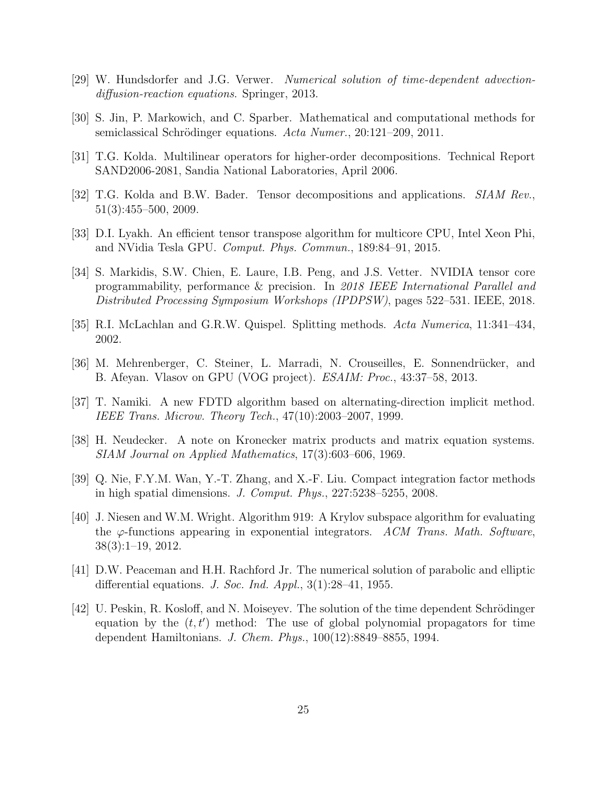- <span id="page-24-4"></span>[29] W. Hundsdorfer and J.G. Verwer. Numerical solution of time-dependent advectiondiffusion-reaction equations. Springer, 2013.
- <span id="page-24-9"></span>[30] S. Jin, P. Markowich, and C. Sparber. Mathematical and computational methods for semiclassical Schrödinger equations. Acta Numer., 20:121–209, 2011.
- <span id="page-24-7"></span>[31] T.G. Kolda. Multilinear operators for higher-order decompositions. Technical Report SAND2006-2081, Sandia National Laboratories, April 2006.
- <span id="page-24-8"></span>[32] T.G. Kolda and B.W. Bader. Tensor decompositions and applications. SIAM Rev., 51(3):455–500, 2009.
- <span id="page-24-11"></span>[33] D.I. Lyakh. An efficient tensor transpose algorithm for multicore CPU, Intel Xeon Phi, and NVidia Tesla GPU. Comput. Phys. Commun., 189:84–91, 2015.
- <span id="page-24-13"></span>[34] S. Markidis, S.W. Chien, E. Laure, I.B. Peng, and J.S. Vetter. NVIDIA tensor core programmability, performance & precision. In 2018 IEEE International Parallel and Distributed Processing Symposium Workshops (IPDPSW), pages 522–531. IEEE, 2018.
- <span id="page-24-0"></span>[35] R.I. McLachlan and G.R.W. Quispel. Splitting methods. Acta Numerica, 11:341–434, 2002.
- <span id="page-24-12"></span>[36] M. Mehrenberger, C. Steiner, L. Marradi, N. Crouseilles, E. Sonnendrücker, and B. Afeyan. Vlasov on GPU (VOG project). ESAIM: Proc., 43:37–58, 2013.
- <span id="page-24-1"></span>[37] T. Namiki. A new FDTD algorithm based on alternating-direction implicit method. IEEE Trans. Microw. Theory Tech., 47(10):2003–2007, 1999.
- <span id="page-24-3"></span>[38] H. Neudecker. A note on Kronecker matrix products and matrix equation systems. SIAM Journal on Applied Mathematics, 17(3):603–606, 1969.
- <span id="page-24-5"></span>[39] Q. Nie, F.Y.M. Wan, Y.-T. Zhang, and X.-F. Liu. Compact integration factor methods in high spatial dimensions. J. Comput. Phys., 227:5238–5255, 2008.
- <span id="page-24-6"></span>[40] J. Niesen and W.M. Wright. Algorithm 919: A Krylov subspace algorithm for evaluating the  $\varphi$ -functions appearing in exponential integrators. ACM Trans. Math. Software, 38(3):1–19, 2012.
- <span id="page-24-2"></span>[41] D.W. Peaceman and H.H. Rachford Jr. The numerical solution of parabolic and elliptic differential equations. J. Soc. Ind. Appl.,  $3(1):28-41$ , 1955.
- <span id="page-24-10"></span> $[42]$  U. Peskin, R. Kosloff, and N. Moiseyev. The solution of the time dependent Schrödinger equation by the  $(t, t')$  method: The use of global polynomial propagators for time dependent Hamiltonians. J. Chem. Phys., 100(12):8849–8855, 1994.